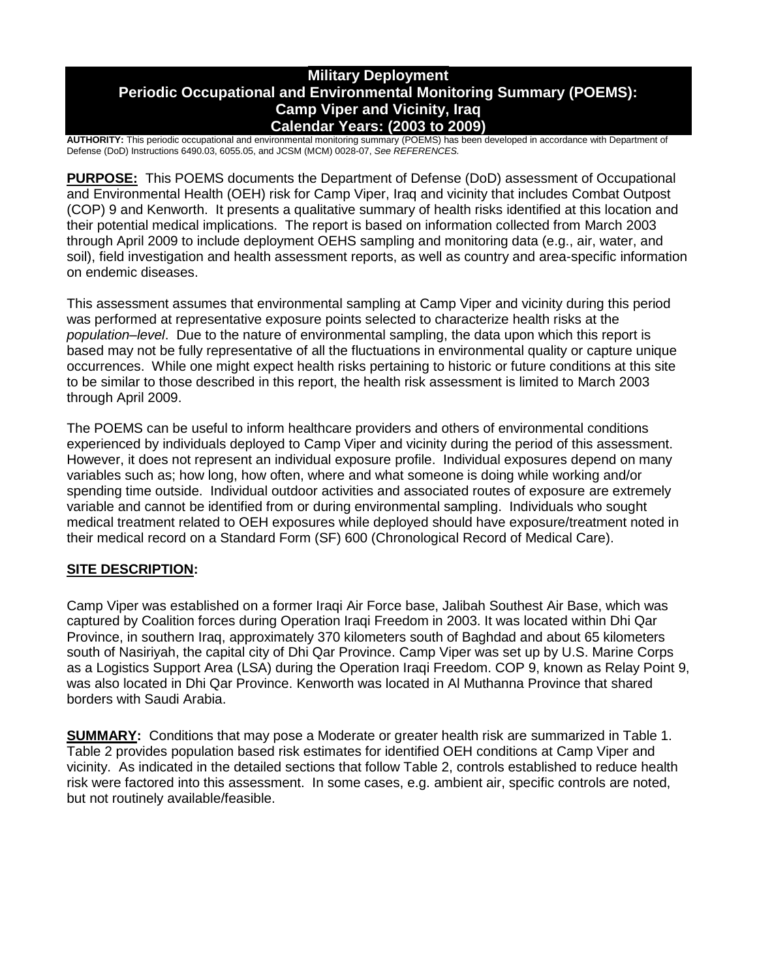## **Military Deployment Periodic Occupational and Environmental Monitoring Summary (POEMS): Camp Viper and Vicinity, Iraq Calendar Years: (2003 to 2009)**

**AUTHORITY:** This periodic occupational and environmental monitoring summary (POEMS) has been developed in accordance with Department of Defense (DoD) Instructions 6490.03, 6055.05, and JCSM (MCM) 0028-07, *See REFERENCES.*

**PURPOSE:** This POEMS documents the Department of Defense (DoD) assessment of Occupational and Environmental Health (OEH) risk for Camp Viper, Iraq and vicinity that includes Combat Outpost (COP) 9 and Kenworth. It presents a qualitative summary of health risks identified at this location and their potential medical implications. The report is based on information collected from March 2003 through April 2009 to include deployment OEHS sampling and monitoring data (e.g., air, water, and soil), field investigation and health assessment reports, as well as country and area-specific information on endemic diseases.

This assessment assumes that environmental sampling at Camp Viper and vicinity during this period was performed at representative exposure points selected to characterize health risks at the *population–level*. Due to the nature of environmental sampling, the data upon which this report is based may not be fully representative of all the fluctuations in environmental quality or capture unique occurrences. While one might expect health risks pertaining to historic or future conditions at this site to be similar to those described in this report, the health risk assessment is limited to March 2003 through April 2009.

The POEMS can be useful to inform healthcare providers and others of environmental conditions experienced by individuals deployed to Camp Viper and vicinity during the period of this assessment. However, it does not represent an individual exposure profile. Individual exposures depend on many variables such as; how long, how often, where and what someone is doing while working and/or spending time outside. Individual outdoor activities and associated routes of exposure are extremely variable and cannot be identified from or during environmental sampling. Individuals who sought medical treatment related to OEH exposures while deployed should have exposure/treatment noted in their medical record on a Standard Form (SF) 600 (Chronological Record of Medical Care).

## **SITE DESCRIPTION:**

Camp Viper was established on a former Iraqi Air Force base, Jalibah Southest Air Base, which was captured by Coalition forces during Operation Iraqi Freedom in 2003. It was located within Dhi Qar Province, in southern Iraq, approximately 370 kilometers south of Baghdad and about 65 kilometers south of Nasiriyah, the capital city of Dhi Qar Province. Camp Viper was set up by U.S. Marine Corps as a Logistics Support Area (LSA) during the Operation Iraqi Freedom. COP 9, known as Relay Point 9, was also located in Dhi Qar Province. Kenworth was located in Al Muthanna Province that shared borders with Saudi Arabia.

**SUMMARY:** Conditions that may pose a Moderate or greater health risk are summarized in Table 1. Table 2 provides population based risk estimates for identified OEH conditions at Camp Viper and vicinity. As indicated in the detailed sections that follow Table 2, controls established to reduce health risk were factored into this assessment. In some cases, e.g. ambient air, specific controls are noted, but not routinely available/feasible.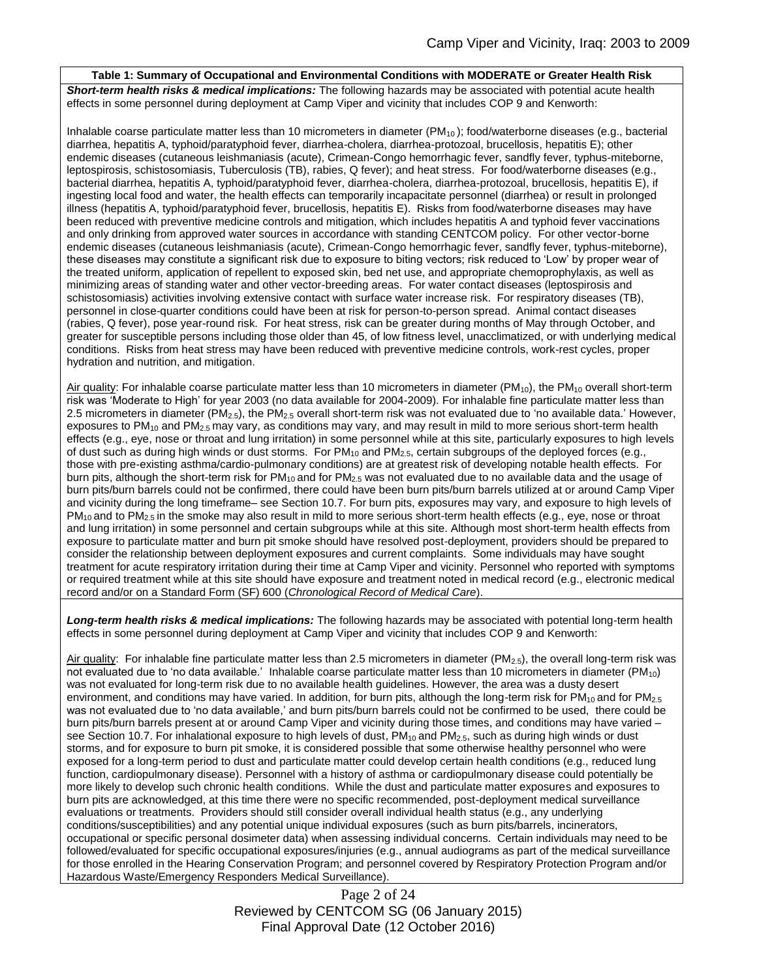#### **Table 1: Summary of Occupational and Environmental Conditions with MODERATE or Greater Health Risk**

*Short-term health risks & medical implications:* The following hazards may be associated with potential acute health effects in some personnel during deployment at Camp Viper and vicinity that includes COP 9 and Kenworth:

Inhalable coarse particulate matter less than 10 micrometers in diameter  $(PM_{10})$ ; food/waterborne diseases (e.g., bacterial diarrhea, hepatitis A, typhoid/paratyphoid fever, diarrhea-cholera, diarrhea-protozoal, brucellosis, hepatitis E); other endemic diseases (cutaneous leishmaniasis (acute), Crimean-Congo hemorrhagic fever, sandfly fever, typhus-miteborne, leptospirosis, schistosomiasis, Tuberculosis (TB), rabies, Q fever); and heat stress. For food/waterborne diseases (e.g., bacterial diarrhea, hepatitis A, typhoid/paratyphoid fever, diarrhea-cholera, diarrhea-protozoal, brucellosis, hepatitis E), if ingesting local food and water, the health effects can temporarily incapacitate personnel (diarrhea) or result in prolonged illness (hepatitis A, typhoid/paratyphoid fever, brucellosis, hepatitis E). Risks from food/waterborne diseases may have been reduced with preventive medicine controls and mitigation, which includes hepatitis A and typhoid fever vaccinations and only drinking from approved water sources in accordance with standing CENTCOM policy. For other vector-borne endemic diseases (cutaneous leishmaniasis (acute), Crimean-Congo hemorrhagic fever, sandfly fever, typhus-miteborne), these diseases may constitute a significant risk due to exposure to biting vectors; risk reduced to 'Low' by proper wear of the treated uniform, application of repellent to exposed skin, bed net use, and appropriate chemoprophylaxis, as well as minimizing areas of standing water and other vector-breeding areas. For water contact diseases (leptospirosis and schistosomiasis) activities involving extensive contact with surface water increase risk. For respiratory diseases (TB), personnel in close-quarter conditions could have been at risk for person-to-person spread. Animal contact diseases (rabies, Q fever), pose year-round risk. For heat stress, risk can be greater during months of May through October, and greater for susceptible persons including those older than 45, of low fitness level, unacclimatized, or with underlying medical conditions. Risks from heat stress may have been reduced with preventive medicine controls, work-rest cycles, proper hydration and nutrition, and mitigation.

Air quality: For inhalable coarse particulate matter less than 10 micrometers in diameter (PM<sub>10</sub>), the PM<sub>10</sub> overall short-term risk was 'Moderate to High' for year 2003 (no data available for 2004-2009). For inhalable fine particulate matter less than 2.5 micrometers in diameter ( $PM_{2.5}$ ), the  $PM_{2.5}$  overall short-term risk was not evaluated due to 'no available data.' However, exposures to  $PM_{10}$  and  $PM_{2.5}$  may vary, as conditions may vary, and may result in mild to more serious short-term health effects (e.g., eye, nose or throat and lung irritation) in some personnel while at this site, particularly exposures to high levels of dust such as during high winds or dust storms. For PM<sub>10</sub> and PM<sub>2.5</sub>, certain subgroups of the deployed forces (e.g., those with pre-existing asthma/cardio-pulmonary conditions) are at greatest risk of developing notable health effects. For burn pits, although the short-term risk for  $PM_{10}$  and for  $PM_{2.5}$  was not evaluated due to no available data and the usage of burn pits/burn barrels could not be confirmed, there could have been burn pits/burn barrels utilized at or around Camp Viper and vicinity during the long timeframe– see Section 10.7. For burn pits, exposures may vary, and exposure to high levels of  $PM_{10}$  and to  $PM_{2.5}$  in the smoke may also result in mild to more serious short-term health effects (e.g., eye, nose or throat and lung irritation) in some personnel and certain subgroups while at this site. Although most short-term health effects from exposure to particulate matter and burn pit smoke should have resolved post-deployment, providers should be prepared to consider the relationship between deployment exposures and current complaints. Some individuals may have sought treatment for acute respiratory irritation during their time at Camp Viper and vicinity. Personnel who reported with symptoms or required treatment while at this site should have exposure and treatment noted in medical record (e.g., electronic medical record and/or on a Standard Form (SF) 600 (*Chronological Record of Medical Care*).

*Long-term health risks & medical implications:* The following hazards may be associated with potential long-term health effects in some personnel during deployment at Camp Viper and vicinity that includes COP 9 and Kenworth:

Air quality: For inhalable fine particulate matter less than 2.5 micrometers in diameter (PM<sub>2.5</sub>), the overall long-term risk was not evaluated due to 'no data available.' Inhalable coarse particulate matter less than 10 micrometers in diameter (PM<sub>10</sub>) was not evaluated for long-term risk due to no available health guidelines. However, the area was a dusty desert environment, and conditions may have varied. In addition, for burn pits, although the long-term risk for  $PM_{10}$  and for  $PM_{2.5}$ was not evaluated due to 'no data available,' and burn pits/burn barrels could not be confirmed to be used, there could be burn pits/burn barrels present at or around Camp Viper and vicinity during those times, and conditions may have varied – see Section 10.7. For inhalational exposure to high levels of dust,  $PM_{10}$  and  $PM_{2.5}$ , such as during high winds or dust storms, and for exposure to burn pit smoke, it is considered possible that some otherwise healthy personnel who were exposed for a long-term period to dust and particulate matter could develop certain health conditions (e.g., reduced lung function, cardiopulmonary disease). Personnel with a history of asthma or cardiopulmonary disease could potentially be more likely to develop such chronic health conditions. While the dust and particulate matter exposures and exposures to burn pits are acknowledged, at this time there were no specific recommended, post-deployment medical surveillance evaluations or treatments. Providers should still consider overall individual health status (e.g., any underlying conditions/susceptibilities) and any potential unique individual exposures (such as burn pits/barrels, incinerators, occupational or specific personal dosimeter data) when assessing individual concerns. Certain individuals may need to be followed/evaluated for specific occupational exposures/injuries (e.g., annual audiograms as part of the medical surveillance for those enrolled in the Hearing Conservation Program; and personnel covered by Respiratory Protection Program and/or Hazardous Waste/Emergency Responders Medical Surveillance).

> Page 2 of 24 Reviewed by CENTCOM SG (06 January 2015) Final Approval Date (12 October 2016)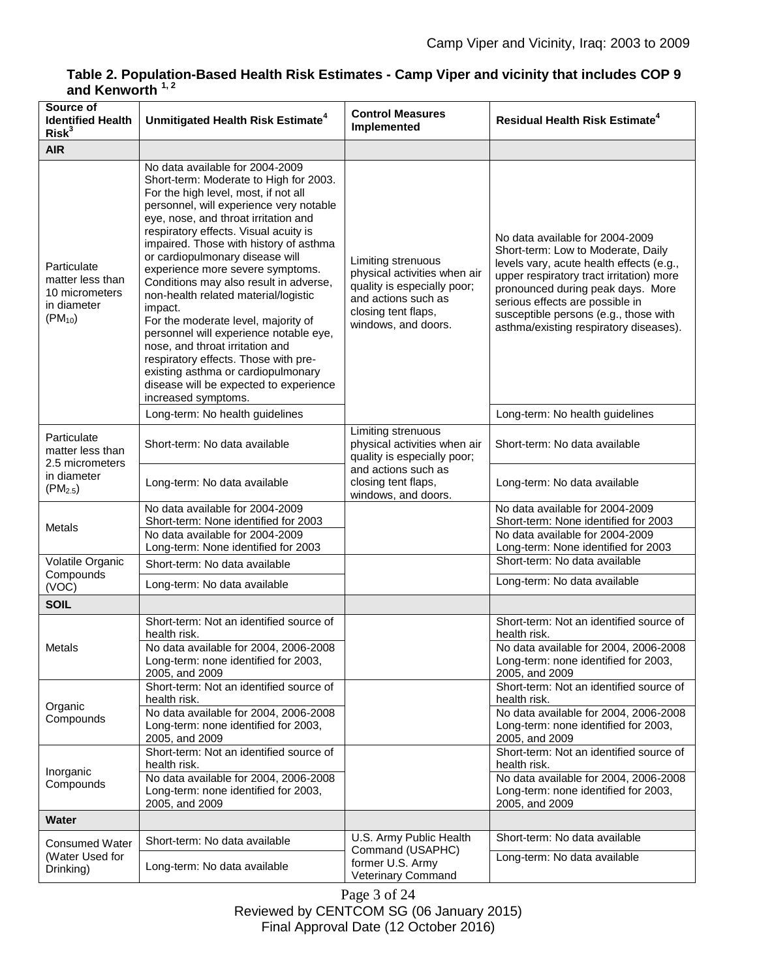# **Table 2. Population-Based Health Risk Estimates - Camp Viper and vicinity that includes COP 9 and Kenworth 1, 2**

| Source of<br><b>Identified Health</b><br>Risk <sup>3</sup>                      | Unmitigated Health Risk Estimate <sup>4</sup>                                                                                                                                                                                                                                                                                                                                                                                                                                                                                                                                                                                                                                                                                  | <b>Control Measures</b><br>Implemented                                                                                                                 | <b>Residual Health Risk Estimate<sup>4</sup></b>                                                                                                                                                                                                                                                                         |
|---------------------------------------------------------------------------------|--------------------------------------------------------------------------------------------------------------------------------------------------------------------------------------------------------------------------------------------------------------------------------------------------------------------------------------------------------------------------------------------------------------------------------------------------------------------------------------------------------------------------------------------------------------------------------------------------------------------------------------------------------------------------------------------------------------------------------|--------------------------------------------------------------------------------------------------------------------------------------------------------|--------------------------------------------------------------------------------------------------------------------------------------------------------------------------------------------------------------------------------------------------------------------------------------------------------------------------|
| <b>AIR</b>                                                                      |                                                                                                                                                                                                                                                                                                                                                                                                                                                                                                                                                                                                                                                                                                                                |                                                                                                                                                        |                                                                                                                                                                                                                                                                                                                          |
| Particulate<br>matter less than<br>10 micrometers<br>in diameter<br>$(PM_{10})$ | No data available for 2004-2009<br>Short-term: Moderate to High for 2003.<br>For the high level, most, if not all<br>personnel, will experience very notable<br>eye, nose, and throat irritation and<br>respiratory effects. Visual acuity is<br>impaired. Those with history of asthma<br>or cardiopulmonary disease will<br>experience more severe symptoms.<br>Conditions may also result in adverse,<br>non-health related material/logistic<br>impact.<br>For the moderate level, majority of<br>personnel will experience notable eye,<br>nose, and throat irritation and<br>respiratory effects. Those with pre-<br>existing asthma or cardiopulmonary<br>disease will be expected to experience<br>increased symptoms. | Limiting strenuous<br>physical activities when air<br>quality is especially poor;<br>and actions such as<br>closing tent flaps,<br>windows, and doors. | No data available for 2004-2009<br>Short-term: Low to Moderate, Daily<br>levels vary, acute health effects (e.g.,<br>upper respiratory tract irritation) more<br>pronounced during peak days. More<br>serious effects are possible in<br>susceptible persons (e.g., those with<br>asthma/existing respiratory diseases). |
|                                                                                 | Long-term: No health guidelines                                                                                                                                                                                                                                                                                                                                                                                                                                                                                                                                                                                                                                                                                                |                                                                                                                                                        | Long-term: No health guidelines                                                                                                                                                                                                                                                                                          |
| Particulate<br>matter less than<br>2.5 micrometers                              | Short-term: No data available                                                                                                                                                                                                                                                                                                                                                                                                                                                                                                                                                                                                                                                                                                  | Limiting strenuous<br>physical activities when air<br>quality is especially poor;                                                                      | Short-term: No data available                                                                                                                                                                                                                                                                                            |
| in diameter<br>$(PM_{2.5})$                                                     | Long-term: No data available                                                                                                                                                                                                                                                                                                                                                                                                                                                                                                                                                                                                                                                                                                   | and actions such as<br>closing tent flaps,<br>windows, and doors.                                                                                      | Long-term: No data available                                                                                                                                                                                                                                                                                             |
| Metals                                                                          | No data available for 2004-2009<br>Short-term: None identified for 2003<br>No data available for 2004-2009<br>Long-term: None identified for 2003                                                                                                                                                                                                                                                                                                                                                                                                                                                                                                                                                                              |                                                                                                                                                        | No data available for 2004-2009<br>Short-term: None identified for 2003<br>No data available for 2004-2009<br>Long-term: None identified for 2003                                                                                                                                                                        |
| Volatile Organic<br>Compounds                                                   | Short-term: No data available<br>Long-term: No data available                                                                                                                                                                                                                                                                                                                                                                                                                                                                                                                                                                                                                                                                  |                                                                                                                                                        | Short-term: No data available<br>Long-term: No data available                                                                                                                                                                                                                                                            |
| (VOC)<br><b>SOIL</b>                                                            |                                                                                                                                                                                                                                                                                                                                                                                                                                                                                                                                                                                                                                                                                                                                |                                                                                                                                                        |                                                                                                                                                                                                                                                                                                                          |
| Metals                                                                          | Short-term: Not an identified source of<br>health risk.<br>No data available for 2004, 2006-2008<br>Long-term: none identified for 2003,<br>2005, and 2009                                                                                                                                                                                                                                                                                                                                                                                                                                                                                                                                                                     |                                                                                                                                                        | Short-term: Not an identified source of<br>health risk.<br>No data available for 2004, 2006-2008<br>Long-term: none identified for 2003,<br>2005, and 2009                                                                                                                                                               |
| Organic<br>Compounds                                                            | Short-term: Not an identified source of<br>health risk.<br>No data available for 2004, 2006-2008<br>Long-term: none identified for 2003,<br>2005, and 2009                                                                                                                                                                                                                                                                                                                                                                                                                                                                                                                                                                     |                                                                                                                                                        | Short-term: Not an identified source of<br>health risk.<br>No data available for 2004, 2006-2008<br>Long-term: none identified for 2003,<br>2005, and 2009                                                                                                                                                               |
| Inorganic<br>Compounds                                                          | Short-term: Not an identified source of<br>health risk.<br>No data available for 2004, 2006-2008<br>Long-term: none identified for 2003,<br>2005, and 2009                                                                                                                                                                                                                                                                                                                                                                                                                                                                                                                                                                     |                                                                                                                                                        | Short-term: Not an identified source of<br>health risk.<br>No data available for 2004, 2006-2008<br>Long-term: none identified for 2003,<br>2005, and 2009                                                                                                                                                               |
| Water                                                                           |                                                                                                                                                                                                                                                                                                                                                                                                                                                                                                                                                                                                                                                                                                                                |                                                                                                                                                        |                                                                                                                                                                                                                                                                                                                          |
| <b>Consumed Water</b><br>(Water Used for<br>Drinking)                           | Short-term: No data available<br>Long-term: No data available                                                                                                                                                                                                                                                                                                                                                                                                                                                                                                                                                                                                                                                                  | U.S. Army Public Health<br>Command (USAPHC)<br>former U.S. Army<br>Veterinary Command                                                                  | Short-term: No data available<br>Long-term: No data available                                                                                                                                                                                                                                                            |

Page 3 of 24 Reviewed by CENTCOM SG (06 January 2015) Final Approval Date (12 October 2016)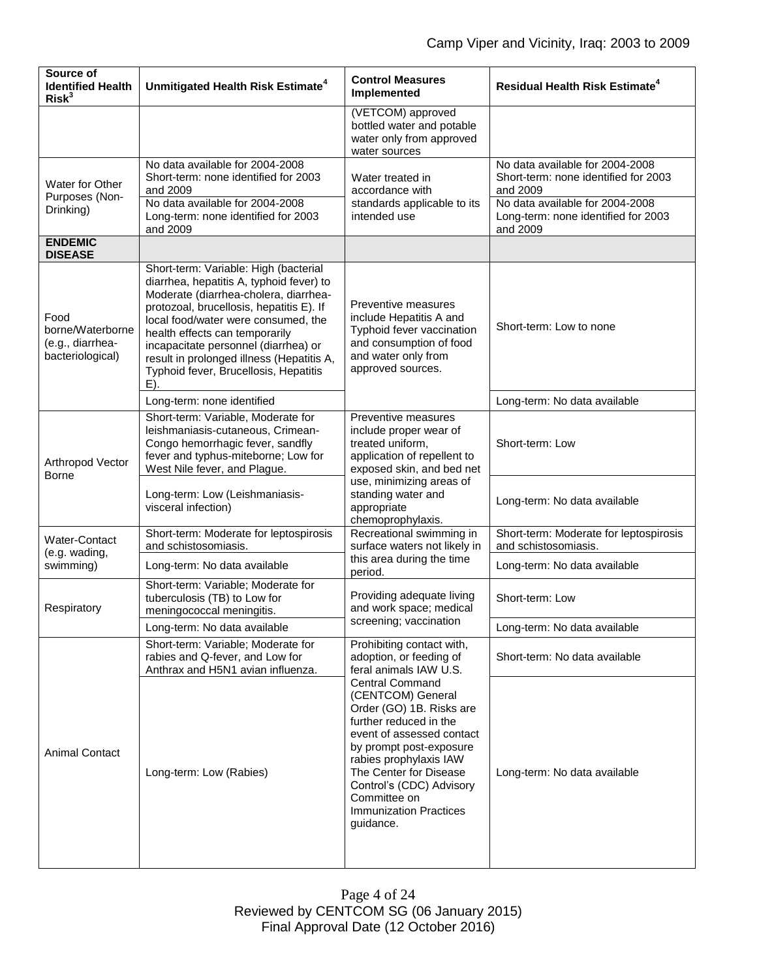| Source of<br><b>Identified Health</b><br>Risk <sup>3</sup>       | Unmitigated Health Risk Estimate <sup>4</sup>                                                                                                                                                                                                                                                                                                                                           | <b>Control Measures</b><br>Implemented                                                                                                                                                                                                                                                                                                                                                    | <b>Residual Health Risk Estimate<sup>4</sup></b>                                    |
|------------------------------------------------------------------|-----------------------------------------------------------------------------------------------------------------------------------------------------------------------------------------------------------------------------------------------------------------------------------------------------------------------------------------------------------------------------------------|-------------------------------------------------------------------------------------------------------------------------------------------------------------------------------------------------------------------------------------------------------------------------------------------------------------------------------------------------------------------------------------------|-------------------------------------------------------------------------------------|
|                                                                  |                                                                                                                                                                                                                                                                                                                                                                                         | (VETCOM) approved<br>bottled water and potable<br>water only from approved<br>water sources                                                                                                                                                                                                                                                                                               |                                                                                     |
| Water for Other<br>Purposes (Non-<br>Drinking)                   | No data available for 2004-2008<br>Short-term: none identified for 2003<br>and 2009                                                                                                                                                                                                                                                                                                     | Water treated in<br>accordance with<br>standards applicable to its<br>intended use                                                                                                                                                                                                                                                                                                        | No data available for 2004-2008<br>Short-term: none identified for 2003<br>and 2009 |
|                                                                  | No data available for 2004-2008<br>Long-term: none identified for 2003<br>and 2009                                                                                                                                                                                                                                                                                                      |                                                                                                                                                                                                                                                                                                                                                                                           | No data available for 2004-2008<br>Long-term: none identified for 2003<br>and 2009  |
| <b>ENDEMIC</b><br><b>DISEASE</b>                                 |                                                                                                                                                                                                                                                                                                                                                                                         |                                                                                                                                                                                                                                                                                                                                                                                           |                                                                                     |
| Food<br>borne/Waterborne<br>(e.g., diarrhea-<br>bacteriological) | Short-term: Variable: High (bacterial<br>diarrhea, hepatitis A, typhoid fever) to<br>Moderate (diarrhea-cholera, diarrhea-<br>protozoal, brucellosis, hepatitis E). If<br>local food/water were consumed, the<br>health effects can temporarily<br>incapacitate personnel (diarrhea) or<br>result in prolonged illness (Hepatitis A,<br>Typhoid fever, Brucellosis, Hepatitis<br>$E$ ). | Preventive measures<br>include Hepatitis A and<br>Typhoid fever vaccination<br>and consumption of food<br>and water only from<br>approved sources.                                                                                                                                                                                                                                        | Short-term: Low to none                                                             |
|                                                                  | Long-term: none identified                                                                                                                                                                                                                                                                                                                                                              |                                                                                                                                                                                                                                                                                                                                                                                           | Long-term: No data available                                                        |
| Arthropod Vector<br><b>Borne</b>                                 | Short-term: Variable, Moderate for<br>leishmaniasis-cutaneous, Crimean-<br>Congo hemorrhagic fever, sandfly<br>fever and typhus-miteborne; Low for<br>West Nile fever, and Plague.                                                                                                                                                                                                      | Preventive measures<br>include proper wear of<br>treated uniform,<br>application of repellent to<br>exposed skin, and bed net<br>use, minimizing areas of<br>standing water and<br>appropriate<br>chemoprophylaxis.                                                                                                                                                                       | Short-term: Low                                                                     |
|                                                                  | Long-term: Low (Leishmaniasis-<br>visceral infection)                                                                                                                                                                                                                                                                                                                                   |                                                                                                                                                                                                                                                                                                                                                                                           | Long-term: No data available                                                        |
| Water-Contact                                                    | Short-term: Moderate for leptospirosis<br>and schistosomiasis.                                                                                                                                                                                                                                                                                                                          | Recreational swimming in<br>surface waters not likely in<br>this area during the time<br>period.                                                                                                                                                                                                                                                                                          | Short-term: Moderate for leptospirosis<br>and schistosomiasis.                      |
| (e.g. wading,<br>swimming)                                       | Long-term: No data available                                                                                                                                                                                                                                                                                                                                                            |                                                                                                                                                                                                                                                                                                                                                                                           | Long-term: No data available                                                        |
| Respiratory                                                      | Short-term: Variable; Moderate for<br>tuberculosis (TB) to Low for<br>meningococcal meningitis.                                                                                                                                                                                                                                                                                         | Providing adequate living<br>and work space; medical<br>screening; vaccination                                                                                                                                                                                                                                                                                                            | Short-term: Low                                                                     |
|                                                                  | Long-term: No data available                                                                                                                                                                                                                                                                                                                                                            |                                                                                                                                                                                                                                                                                                                                                                                           | Long-term: No data available                                                        |
| <b>Animal Contact</b>                                            | Short-term: Variable; Moderate for<br>rabies and Q-fever, and Low for<br>Anthrax and H5N1 avian influenza.                                                                                                                                                                                                                                                                              | Prohibiting contact with,<br>adoption, or feeding of<br>feral animals IAW U.S.<br><b>Central Command</b><br>(CENTCOM) General<br>Order (GO) 1B. Risks are<br>further reduced in the<br>event of assessed contact<br>by prompt post-exposure<br>rabies prophylaxis IAW<br>The Center for Disease<br>Control's (CDC) Advisory<br>Committee on<br><b>Immunization Practices</b><br>guidance. | Short-term: No data available                                                       |
|                                                                  | Long-term: Low (Rabies)                                                                                                                                                                                                                                                                                                                                                                 |                                                                                                                                                                                                                                                                                                                                                                                           | Long-term: No data available                                                        |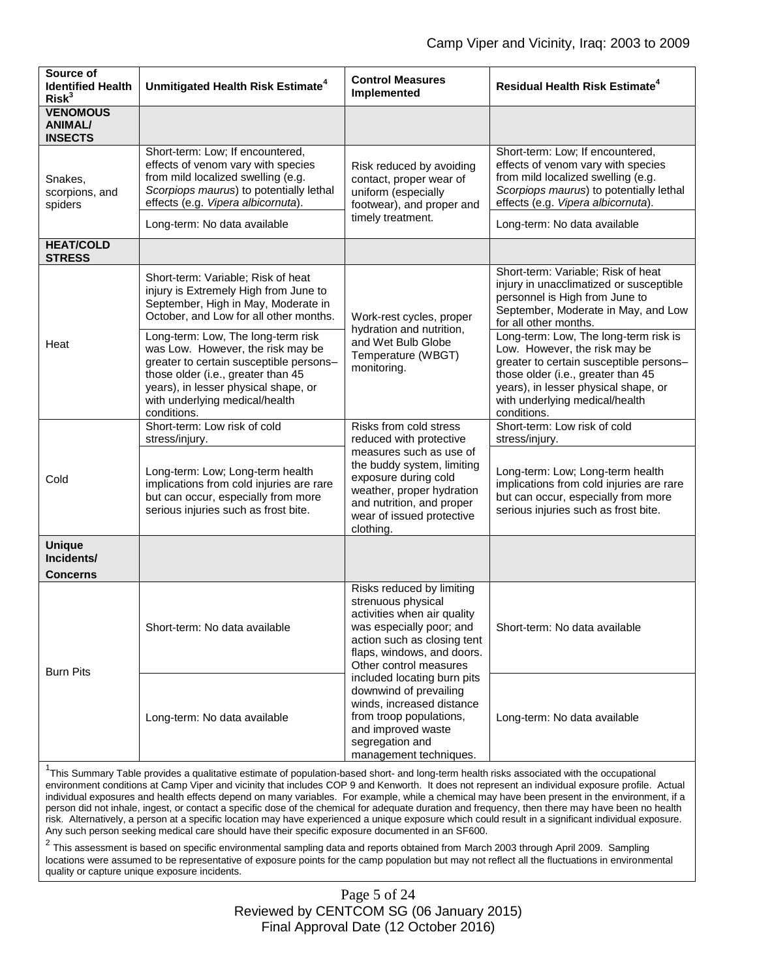| Source of<br><b>Identified Health</b><br>Risk <sup>3</sup> | Unmitigated Health Risk Estimate <sup>4</sup>                                                                                                                                                                                                     | <b>Control Measures</b><br>Implemented                                                                                                                                                                                                                                                                                                                                                | <b>Residual Health Risk Estimate<sup>4</sup></b>                                                                                                                                                                                                 |
|------------------------------------------------------------|---------------------------------------------------------------------------------------------------------------------------------------------------------------------------------------------------------------------------------------------------|---------------------------------------------------------------------------------------------------------------------------------------------------------------------------------------------------------------------------------------------------------------------------------------------------------------------------------------------------------------------------------------|--------------------------------------------------------------------------------------------------------------------------------------------------------------------------------------------------------------------------------------------------|
| <b>VENOMOUS</b><br><b>ANIMAL/</b><br><b>INSECTS</b>        |                                                                                                                                                                                                                                                   |                                                                                                                                                                                                                                                                                                                                                                                       |                                                                                                                                                                                                                                                  |
| Snakes,<br>scorpions, and<br>spiders                       | Short-term: Low; If encountered,<br>effects of venom vary with species<br>from mild localized swelling (e.g.<br>Scorpiops maurus) to potentially lethal<br>effects (e.g. Vipera albicornuta).                                                     | Risk reduced by avoiding<br>contact, proper wear of<br>uniform (especially<br>footwear), and proper and<br>timely treatment.                                                                                                                                                                                                                                                          | Short-term: Low; If encountered,<br>effects of venom vary with species<br>from mild localized swelling (e.g.<br>Scorpiops maurus) to potentially lethal<br>effects (e.g. Vipera albicornuta).                                                    |
|                                                            | Long-term: No data available                                                                                                                                                                                                                      |                                                                                                                                                                                                                                                                                                                                                                                       | Long-term: No data available                                                                                                                                                                                                                     |
| <b>HEAT/COLD</b><br><b>STRESS</b>                          |                                                                                                                                                                                                                                                   |                                                                                                                                                                                                                                                                                                                                                                                       |                                                                                                                                                                                                                                                  |
| Heat                                                       | Short-term: Variable; Risk of heat<br>injury is Extremely High from June to<br>September, High in May, Moderate in<br>October, and Low for all other months.                                                                                      | Work-rest cycles, proper<br>hydration and nutrition,<br>and Wet Bulb Globe<br>Temperature (WBGT)<br>monitoring.                                                                                                                                                                                                                                                                       | Short-term: Variable; Risk of heat<br>injury in unacclimatized or susceptible<br>personnel is High from June to<br>September, Moderate in May, and Low<br>for all other months.                                                                  |
|                                                            | Long-term: Low, The long-term risk<br>was Low. However, the risk may be<br>greater to certain susceptible persons-<br>those older (i.e., greater than 45<br>years), in lesser physical shape, or<br>with underlying medical/health<br>conditions. |                                                                                                                                                                                                                                                                                                                                                                                       | Long-term: Low, The long-term risk is<br>Low. However, the risk may be<br>greater to certain susceptible persons-<br>those older (i.e., greater than 45<br>years), in lesser physical shape, or<br>with underlying medical/health<br>conditions. |
| Cold                                                       | Short-term: Low risk of cold<br>stress/injury.                                                                                                                                                                                                    | Risks from cold stress<br>reduced with protective                                                                                                                                                                                                                                                                                                                                     | Short-term: Low risk of cold<br>stress/injury.                                                                                                                                                                                                   |
|                                                            | Long-term: Low; Long-term health<br>implications from cold injuries are rare<br>but can occur, especially from more<br>serious injuries such as frost bite.                                                                                       | measures such as use of<br>the buddy system, limiting<br>exposure during cold<br>weather, proper hydration<br>and nutrition, and proper<br>wear of issued protective<br>clothing.                                                                                                                                                                                                     | Long-term: Low; Long-term health<br>implications from cold injuries are rare<br>but can occur, especially from more<br>serious injuries such as frost bite.                                                                                      |
| <b>Unique</b><br>Incidents/<br>Concerns                    |                                                                                                                                                                                                                                                   |                                                                                                                                                                                                                                                                                                                                                                                       |                                                                                                                                                                                                                                                  |
| <b>Burn Pits</b>                                           | Short-term: No data available                                                                                                                                                                                                                     | Risks reduced by limiting<br>strenuous physical<br>activities when air quality<br>was especially poor; and<br>action such as closing tent<br>flaps, windows, and doors.<br>Other control measures<br>included locating burn pits<br>downwind of prevailing<br>winds, increased distance<br>from troop populations,<br>and improved waste<br>segregation and<br>management techniques. | Short-term: No data available                                                                                                                                                                                                                    |
|                                                            | Long-term: No data available                                                                                                                                                                                                                      |                                                                                                                                                                                                                                                                                                                                                                                       | Long-term: No data available                                                                                                                                                                                                                     |

<sup>1</sup>This Summary Table provides a qualitative estimate of population-based short- and long-term health risks associated with the occupational environment conditions at Camp Viper and vicinity that includes COP 9 and Kenworth. It does not represent an individual exposure profile. Actual individual exposures and health effects depend on many variables. For example, while a chemical may have been present in the environment, if a person did not inhale, ingest, or contact a specific dose of the chemical for adequate duration and frequency, then there may have been no health risk. Alternatively, a person at a specific location may have experienced a unique exposure which could result in a significant individual exposure. Any such person seeking medical care should have their specific exposure documented in an SF600.

2 This assessment is based on specific environmental sampling data and reports obtained from March 2003 through April 2009. Sampling locations were assumed to be representative of exposure points for the camp population but may not reflect all the fluctuations in environmental quality or capture unique exposure incidents.

> Page 5 of 24 Reviewed by CENTCOM SG (06 January 2015) Final Approval Date (12 October 2016)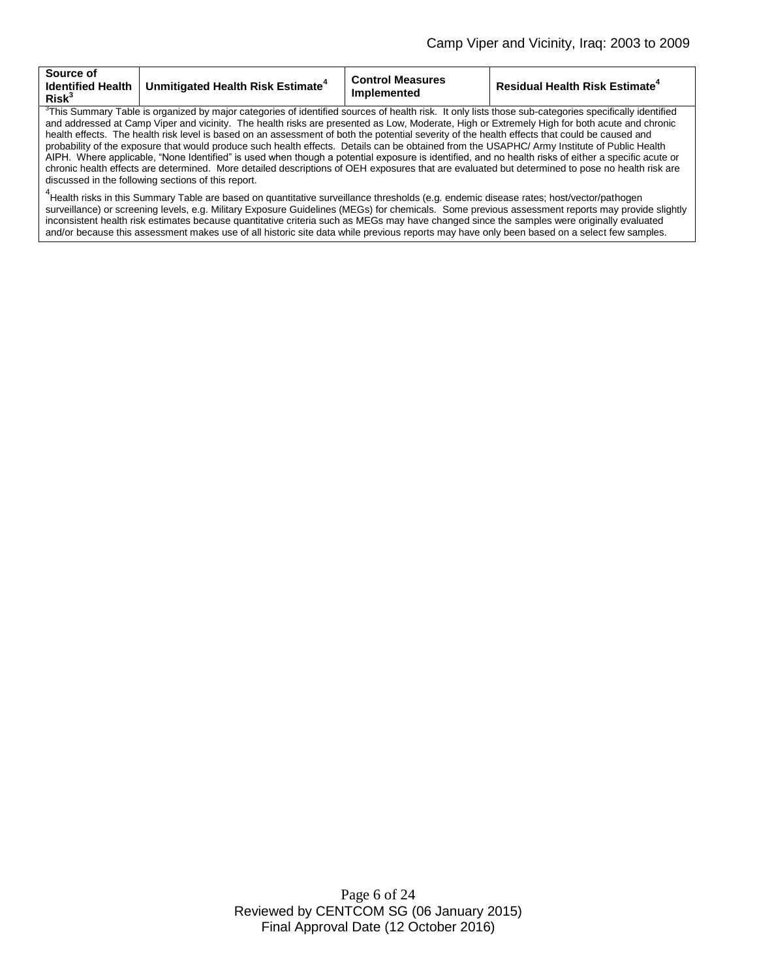| <b>Source of</b><br><b>Identified Health</b><br>Risk <sup>3</sup> | ∣ Unmitigated Health Risk Estimate <sup>+</sup> | <b>Control Measures</b><br><b>Implemented</b> | <b>Residual Health Risk Estimate<sup>4</sup></b> |
|-------------------------------------------------------------------|-------------------------------------------------|-----------------------------------------------|--------------------------------------------------|
|                                                                   |                                                 |                                               |                                                  |

3 This Summary Table is organized by major categories of identified sources of health risk. It only lists those sub-categories specifically identified and addressed at Camp Viper and vicinity. The health risks are presented as Low, Moderate, High or Extremely High for both acute and chronic health effects. The health risk level is based on an assessment of both the potential severity of the health effects that could be caused and probability of the exposure that would produce such health effects. Details can be obtained from the USAPHC/ Army Institute of Public Health AIPH. Where applicable, "None Identified" is used when though a potential exposure is identified, and no health risks of either a specific acute or chronic health effects are determined. More detailed descriptions of OEH exposures that are evaluated but determined to pose no health risk are discussed in the following sections of this report.

<sup>4</sup>Health risks in this Summary Table are based on quantitative surveillance thresholds (e.g. endemic disease rates; host/vector/pathogen surveillance) or screening levels, e.g. Military Exposure Guidelines (MEGs) for chemicals*.* Some previous assessment reports may provide slightly inconsistent health risk estimates because quantitative criteria such as MEGs may have changed since the samples were originally evaluated and/or because this assessment makes use of all historic site data while previous reports may have only been based on a select few samples.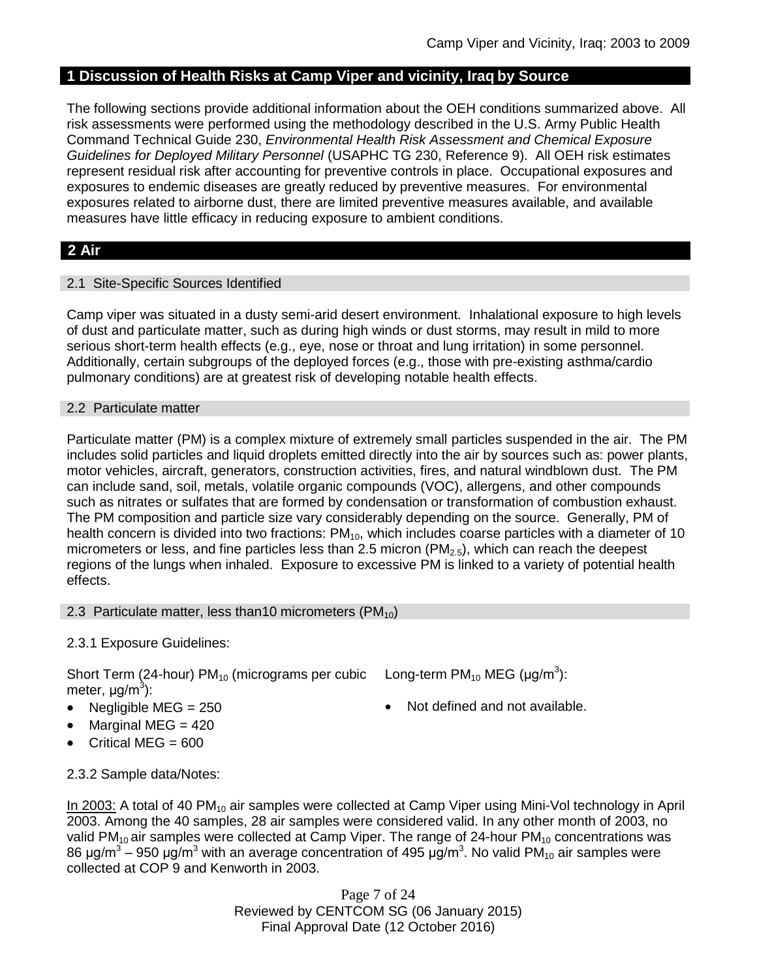## **1 Discussion of Health Risks at Camp Viper and vicinity, Iraq by Source**

The following sections provide additional information about the OEH conditions summarized above. All risk assessments were performed using the methodology described in the U.S. Army Public Health Command Technical Guide 230, *Environmental Health Risk Assessment and Chemical Exposure Guidelines for Deployed Military Personnel* (USAPHC TG 230, Reference 9). All OEH risk estimates represent residual risk after accounting for preventive controls in place. Occupational exposures and exposures to endemic diseases are greatly reduced by preventive measures. For environmental exposures related to airborne dust, there are limited preventive measures available, and available measures have little efficacy in reducing exposure to ambient conditions.

## **2 Air**

### 2.1 Site-Specific Sources Identified

Camp viper was situated in a dusty semi-arid desert environment. Inhalational exposure to high levels of dust and particulate matter, such as during high winds or dust storms, may result in mild to more serious short-term health effects (e.g., eye, nose or throat and lung irritation) in some personnel. Additionally, certain subgroups of the deployed forces (e.g., those with pre-existing asthma/cardio pulmonary conditions) are at greatest risk of developing notable health effects.

### 2.2 Particulate matter

Particulate matter (PM) is a complex mixture of extremely small particles suspended in the air. The PM includes solid particles and liquid droplets emitted directly into the air by sources such as: power plants, motor vehicles, aircraft, generators, construction activities, fires, and natural windblown dust. The PM can include sand, soil, metals, volatile organic compounds (VOC), allergens, and other compounds such as nitrates or sulfates that are formed by condensation or transformation of combustion exhaust. The PM composition and particle size vary considerably depending on the source. Generally, PM of health concern is divided into two fractions:  $PM_{10}$ , which includes coarse particles with a diameter of 10 micrometers or less, and fine particles less than 2.5 micron ( $PM<sub>2.5</sub>$ ), which can reach the deepest regions of the lungs when inhaled. Exposure to excessive PM is linked to a variety of potential health effects.

#### 2.3 Particulate matter, less than10 micrometers  $(PM_{10})$

## 2.3.1 Exposure Guidelines:

Short Term (24-hour) PM<sub>10</sub> (micrograms per cubic Long-term PM<sub>10</sub> MEG (µg/m<sup>3</sup>): meter, μg/m<sup>3</sup>):

- 
- $\bullet$  Marginal MEG = 420
- Critical MEG = 600
- 
- Negligible  $MEG = 250$   $\bullet$  Not defined and not available.

2.3.2 Sample data/Notes:

In 2003: A total of 40 PM<sub>10</sub> air samples were collected at Camp Viper using Mini-Vol technology in April 2003. Among the 40 samples, 28 air samples were considered valid. In any other month of 2003, no valid PM<sub>10</sub> air samples were collected at Camp Viper. The range of 24-hour PM<sub>10</sub> concentrations was 86 μg/m $^3$  – 950 μg/m $^3$  with an average concentration of 495 μg/m $^3$ . No valid PM<sub>10</sub> air samples were collected at COP 9 and Kenworth in 2003.

> Page 7 of 24 Reviewed by CENTCOM SG (06 January 2015) Final Approval Date (12 October 2016)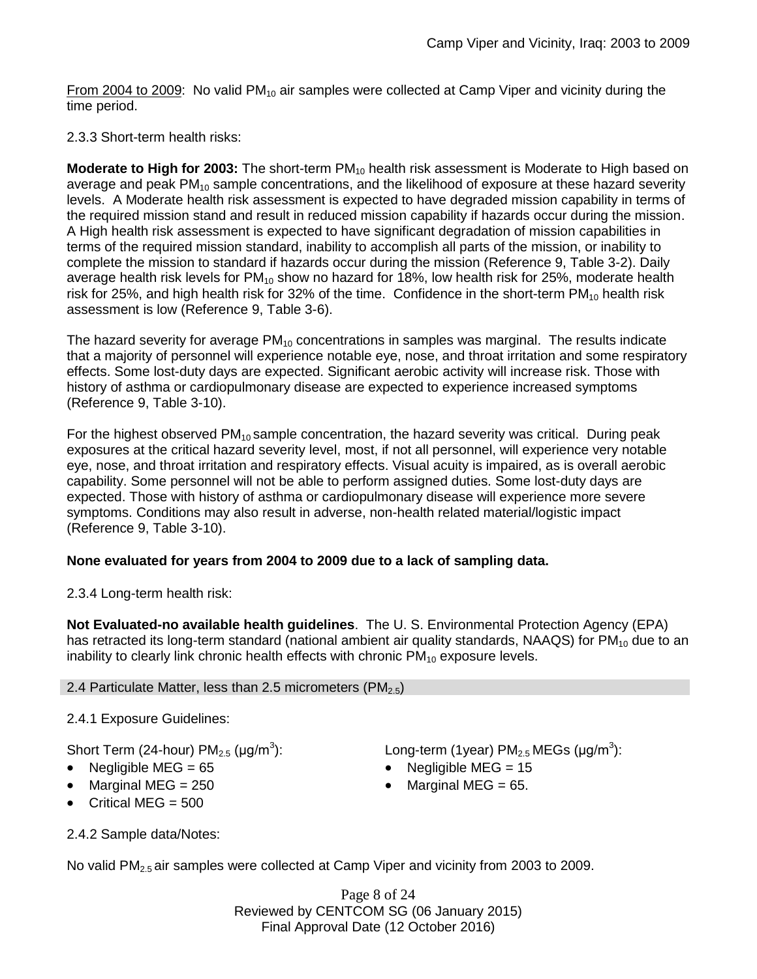From 2004 to 2009: No valid  $PM_{10}$  air samples were collected at Camp Viper and vicinity during the time period.

## 2.3.3 Short-term health risks:

**Moderate to High for 2003:** The short-term PM<sub>10</sub> health risk assessment is Moderate to High based on average and peak  $PM_{10}$  sample concentrations, and the likelihood of exposure at these hazard severity levels. A Moderate health risk assessment is expected to have degraded mission capability in terms of the required mission stand and result in reduced mission capability if hazards occur during the mission. A High health risk assessment is expected to have significant degradation of mission capabilities in terms of the required mission standard, inability to accomplish all parts of the mission, or inability to complete the mission to standard if hazards occur during the mission (Reference 9, Table 3-2). Daily average health risk levels for  $PM_{10}$  show no hazard for 18%, low health risk for 25%, moderate health risk for 25%, and high health risk for 32% of the time. Confidence in the short-term  $PM_{10}$  health risk assessment is low (Reference 9, Table 3-6).

The hazard severity for average  $PM_{10}$  concentrations in samples was marginal. The results indicate that a majority of personnel will experience notable eye, nose, and throat irritation and some respiratory effects. Some lost-duty days are expected. Significant aerobic activity will increase risk. Those with history of asthma or cardiopulmonary disease are expected to experience increased symptoms (Reference 9, Table 3-10).

For the highest observed  $PM_{10}$  sample concentration, the hazard severity was critical. During peak exposures at the critical hazard severity level, most, if not all personnel, will experience very notable eye, nose, and throat irritation and respiratory effects. Visual acuity is impaired, as is overall aerobic capability. Some personnel will not be able to perform assigned duties. Some lost-duty days are expected. Those with history of asthma or cardiopulmonary disease will experience more severe symptoms. Conditions may also result in adverse, non-health related material/logistic impact (Reference 9, Table 3-10).

## **None evaluated for years from 2004 to 2009 due to a lack of sampling data.**

2.3.4 Long-term health risk:

**Not Evaluated-no available health guidelines**. The U. S. Environmental Protection Agency (EPA) has retracted its long-term standard (national ambient air quality standards, NAAQS) for  $PM_{10}$  due to an inability to clearly link chronic health effects with chronic  $PM_{10}$  exposure levels.

## 2.4 Particulate Matter, less than 2.5 micrometers (PM $_{2.5}$ )

## 2.4.1 Exposure Guidelines:

Short Term (24-hour)  $PM<sub>2.5</sub>$  (µg/m<sup>3</sup>):

- Negligible MEG = 65 Negligible MEG = 15
- Marginal MEG =  $250$   $\bullet$  Marginal MEG =  $65$ .
- $\bullet$  Critical MEG = 500

):  $\blacksquare$  Long-term (1year) PM<sub>2.5</sub> MEGs (µg/m<sup>3</sup>):

- 
- 

2.4.2 Sample data/Notes:

No valid PM<sub>2.5</sub> air samples were collected at Camp Viper and vicinity from 2003 to 2009.

Page 8 of 24 Reviewed by CENTCOM SG (06 January 2015) Final Approval Date (12 October 2016)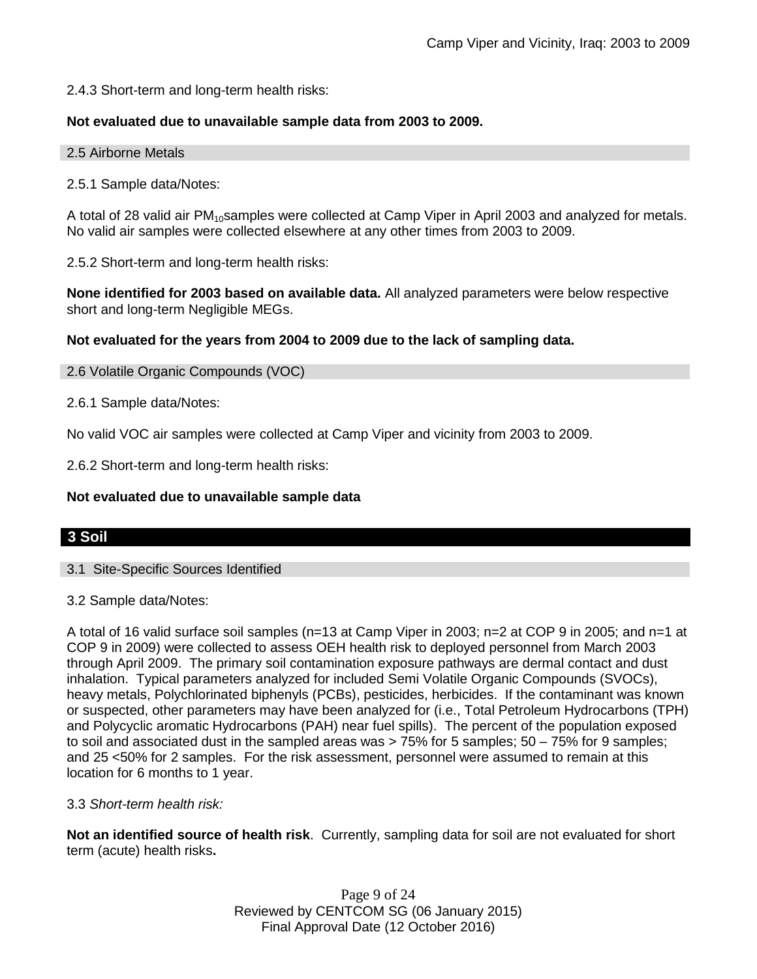2.4.3 Short-term and long-term health risks:

## **Not evaluated due to unavailable sample data from 2003 to 2009.**

#### 2.5 Airborne Metals

2.5.1 Sample data/Notes:

A total of 28 valid air  $PM_{10}$ samples were collected at Camp Viper in April 2003 and analyzed for metals. No valid air samples were collected elsewhere at any other times from 2003 to 2009.

2.5.2 Short-term and long-term health risks:

**None identified for 2003 based on available data.** All analyzed parameters were below respective short and long-term Negligible MEGs.

### **Not evaluated for the years from 2004 to 2009 due to the lack of sampling data.**

2.6 Volatile Organic Compounds (VOC)

2.6.1 Sample data/Notes:

No valid VOC air samples were collected at Camp Viper and vicinity from 2003 to 2009.

2.6.2 Short-term and long-term health risks:

#### **Not evaluated due to unavailable sample data**

## **3 Soil**

3.1 Site-Specific Sources Identified

#### 3.2 Sample data/Notes:

A total of 16 valid surface soil samples (n=13 at Camp Viper in 2003; n=2 at COP 9 in 2005; and n=1 at COP 9 in 2009) were collected to assess OEH health risk to deployed personnel from March 2003 through April 2009. The primary soil contamination exposure pathways are dermal contact and dust inhalation. Typical parameters analyzed for included Semi Volatile Organic Compounds (SVOCs), heavy metals, Polychlorinated biphenyls (PCBs), pesticides, herbicides. If the contaminant was known or suspected, other parameters may have been analyzed for (i.e., Total Petroleum Hydrocarbons (TPH) and Polycyclic aromatic Hydrocarbons (PAH) near fuel spills). The percent of the population exposed to soil and associated dust in the sampled areas was > 75% for 5 samples; 50 – 75% for 9 samples; and 25 <50% for 2 samples. For the risk assessment, personnel were assumed to remain at this location for 6 months to 1 year.

#### 3.3 *Short-term health risk:*

**Not an identified source of health risk**. Currently, sampling data for soil are not evaluated for short term (acute) health risks**.**

> Page 9 of 24 Reviewed by CENTCOM SG (06 January 2015) Final Approval Date (12 October 2016)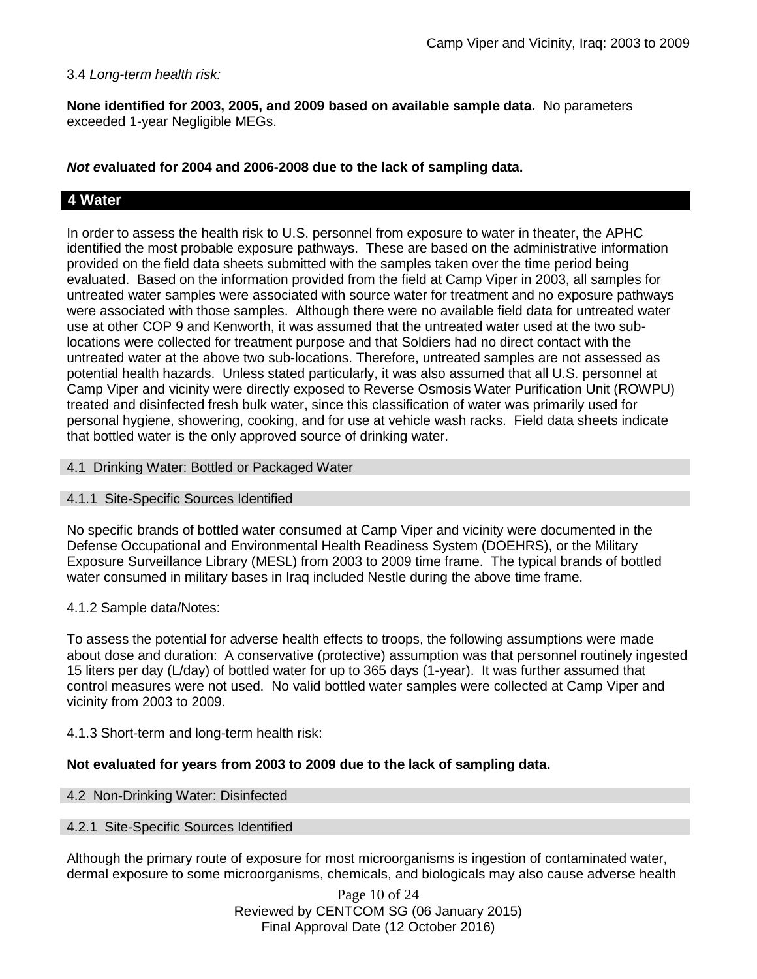#### 3.4 *Long-term health risk:*

**None identified for 2003, 2005, and 2009 based on available sample data.** No parameters exceeded 1-year Negligible MEGs.

### *Not e***valuated for 2004 and 2006-2008 due to the lack of sampling data.**

## **4 Water**

In order to assess the health risk to U.S. personnel from exposure to water in theater, the APHC identified the most probable exposure pathways. These are based on the administrative information provided on the field data sheets submitted with the samples taken over the time period being evaluated. Based on the information provided from the field at Camp Viper in 2003, all samples for untreated water samples were associated with source water for treatment and no exposure pathways were associated with those samples. Although there were no available field data for untreated water use at other COP 9 and Kenworth, it was assumed that the untreated water used at the two sublocations were collected for treatment purpose and that Soldiers had no direct contact with the untreated water at the above two sub-locations. Therefore, untreated samples are not assessed as potential health hazards. Unless stated particularly, it was also assumed that all U.S. personnel at Camp Viper and vicinity were directly exposed to Reverse Osmosis Water Purification Unit (ROWPU) treated and disinfected fresh bulk water, since this classification of water was primarily used for personal hygiene, showering, cooking, and for use at vehicle wash racks. Field data sheets indicate that bottled water is the only approved source of drinking water.

#### 4.1 Drinking Water: Bottled or Packaged Water

#### 4.1.1 Site-Specific Sources Identified

No specific brands of bottled water consumed at Camp Viper and vicinity were documented in the Defense Occupational and Environmental Health Readiness System (DOEHRS), or the Military Exposure Surveillance Library (MESL) from 2003 to 2009 time frame. The typical brands of bottled water consumed in military bases in Iraq included Nestle during the above time frame.

#### 4.1.2 Sample data/Notes:

To assess the potential for adverse health effects to troops, the following assumptions were made about dose and duration: A conservative (protective) assumption was that personnel routinely ingested 15 liters per day (L/day) of bottled water for up to 365 days (1-year). It was further assumed that control measures were not used. No valid bottled water samples were collected at Camp Viper and vicinity from 2003 to 2009.

#### 4.1.3 Short-term and long-term health risk:

#### **Not evaluated for years from 2003 to 2009 due to the lack of sampling data.**

#### 4.2 Non-Drinking Water: Disinfected

#### 4.2.1 Site-Specific Sources Identified

Although the primary route of exposure for most microorganisms is ingestion of contaminated water, dermal exposure to some microorganisms, chemicals, and biologicals may also cause adverse health

> Page 10 of 24 Reviewed by CENTCOM SG (06 January 2015) Final Approval Date (12 October 2016)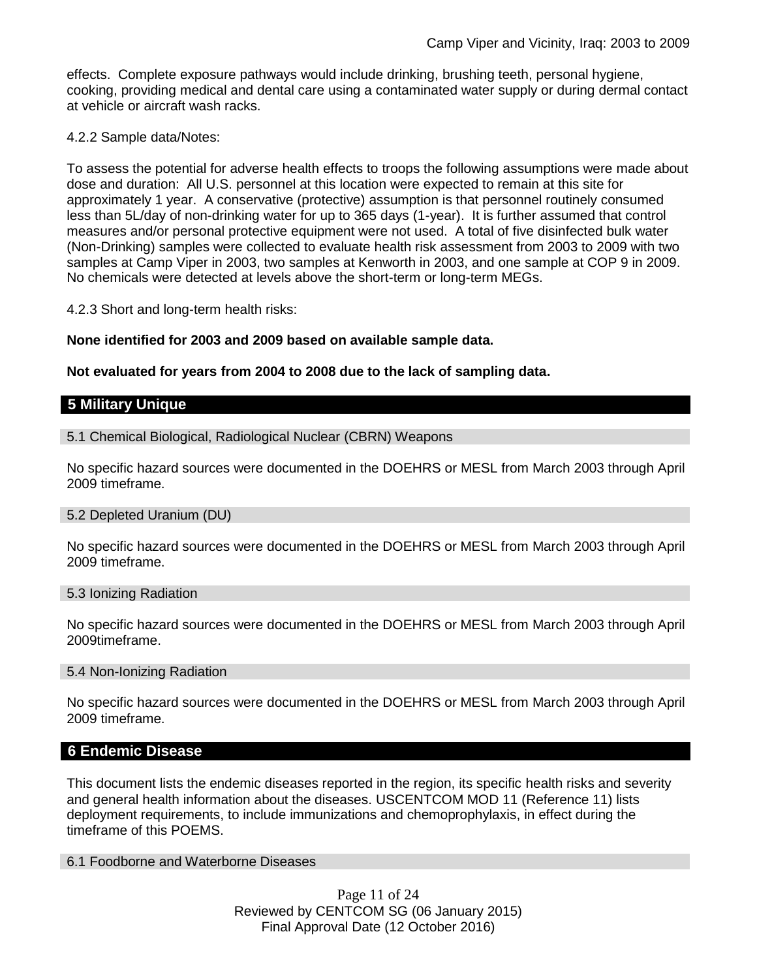effects. Complete exposure pathways would include drinking, brushing teeth, personal hygiene, cooking, providing medical and dental care using a contaminated water supply or during dermal contact at vehicle or aircraft wash racks.

#### 4.2.2 Sample data/Notes:

To assess the potential for adverse health effects to troops the following assumptions were made about dose and duration: All U.S. personnel at this location were expected to remain at this site for approximately 1 year. A conservative (protective) assumption is that personnel routinely consumed less than 5L/day of non-drinking water for up to 365 days (1-year). It is further assumed that control measures and/or personal protective equipment were not used. A total of five disinfected bulk water (Non-Drinking) samples were collected to evaluate health risk assessment from 2003 to 2009 with two samples at Camp Viper in 2003, two samples at Kenworth in 2003, and one sample at COP 9 in 2009. No chemicals were detected at levels above the short-term or long-term MEGs.

4.2.3 Short and long-term health risks:

**None identified for 2003 and 2009 based on available sample data.** 

**Not evaluated for years from 2004 to 2008 due to the lack of sampling data.**

## **5 Military Unique**

#### 5.1 Chemical Biological, Radiological Nuclear (CBRN) Weapons

No specific hazard sources were documented in the DOEHRS or MESL from March 2003 through April 2009 timeframe.

#### 5.2 Depleted Uranium (DU)

No specific hazard sources were documented in the DOEHRS or MESL from March 2003 through April 2009 timeframe.

#### 5.3 Ionizing Radiation

No specific hazard sources were documented in the DOEHRS or MESL from March 2003 through April 2009timeframe.

#### 5.4 Non-Ionizing Radiation

No specific hazard sources were documented in the DOEHRS or MESL from March 2003 through April 2009 timeframe.

## **6 Endemic Disease**

This document lists the endemic diseases reported in the region, its specific health risks and severity and general health information about the diseases. USCENTCOM MOD 11 (Reference 11) lists deployment requirements, to include immunizations and chemoprophylaxis, in effect during the timeframe of this POEMS.

## 6.1 Foodborne and Waterborne Diseases

Page 11 of 24 Reviewed by CENTCOM SG (06 January 2015) Final Approval Date (12 October 2016)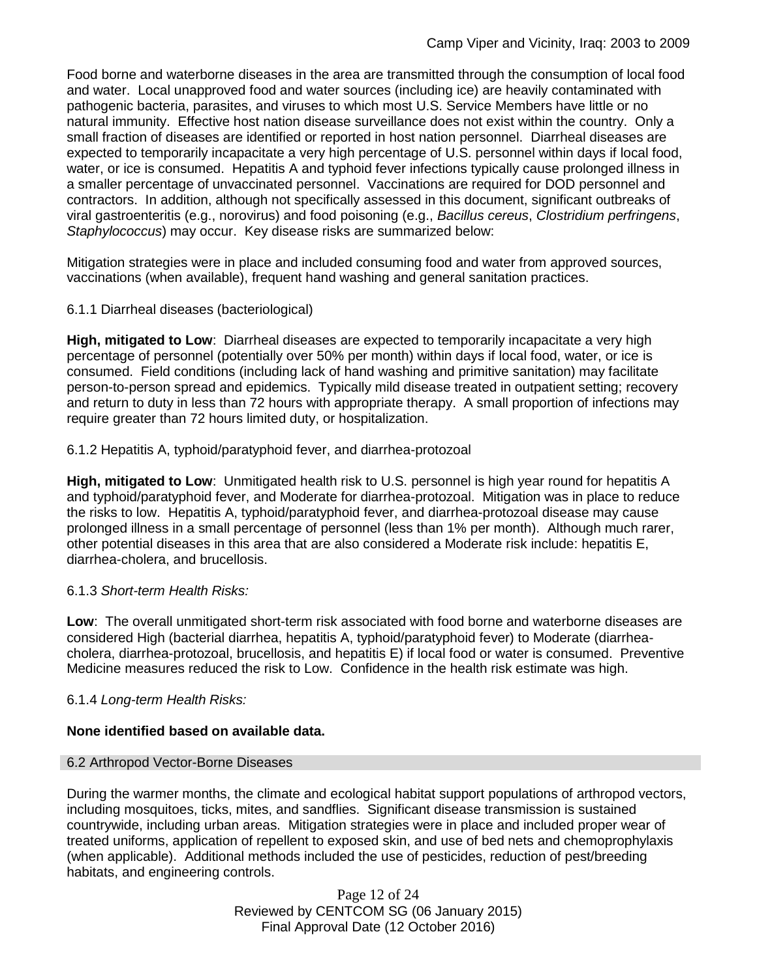Food borne and waterborne diseases in the area are transmitted through the consumption of local food and water. Local unapproved food and water sources (including ice) are heavily contaminated with pathogenic bacteria, parasites, and viruses to which most U.S. Service Members have little or no natural immunity. Effective host nation disease surveillance does not exist within the country. Only a small fraction of diseases are identified or reported in host nation personnel. Diarrheal diseases are expected to temporarily incapacitate a very high percentage of U.S. personnel within days if local food, water, or ice is consumed. Hepatitis A and typhoid fever infections typically cause prolonged illness in a smaller percentage of unvaccinated personnel. Vaccinations are required for DOD personnel and contractors. In addition, although not specifically assessed in this document, significant outbreaks of viral gastroenteritis (e.g., norovirus) and food poisoning (e.g., *Bacillus cereus*, *Clostridium perfringens*, *Staphylococcus*) may occur. Key disease risks are summarized below:

Mitigation strategies were in place and included consuming food and water from approved sources, vaccinations (when available), frequent hand washing and general sanitation practices.

## 6.1.1 Diarrheal diseases (bacteriological)

**High, mitigated to Low**: Diarrheal diseases are expected to temporarily incapacitate a very high percentage of personnel (potentially over 50% per month) within days if local food, water, or ice is consumed. Field conditions (including lack of hand washing and primitive sanitation) may facilitate person-to-person spread and epidemics. Typically mild disease treated in outpatient setting; recovery and return to duty in less than 72 hours with appropriate therapy. A small proportion of infections may require greater than 72 hours limited duty, or hospitalization.

6.1.2 Hepatitis A, typhoid/paratyphoid fever, and diarrhea-protozoal

**High, mitigated to Low**: Unmitigated health risk to U.S. personnel is high year round for hepatitis A and typhoid/paratyphoid fever, and Moderate for diarrhea-protozoal. Mitigation was in place to reduce the risks to low. Hepatitis A, typhoid/paratyphoid fever, and diarrhea-protozoal disease may cause prolonged illness in a small percentage of personnel (less than 1% per month). Although much rarer, other potential diseases in this area that are also considered a Moderate risk include: hepatitis E, diarrhea-cholera, and brucellosis.

## 6.1.3 *Short-term Health Risks:*

**Low**: The overall unmitigated short-term risk associated with food borne and waterborne diseases are considered High (bacterial diarrhea, hepatitis A, typhoid/paratyphoid fever) to Moderate (diarrheacholera, diarrhea-protozoal, brucellosis, and hepatitis E) if local food or water is consumed. Preventive Medicine measures reduced the risk to Low. Confidence in the health risk estimate was high.

## 6.1.4 *Long-term Health Risks:*

## **None identified based on available data.**

## 6.2 Arthropod Vector-Borne Diseases

During the warmer months, the climate and ecological habitat support populations of arthropod vectors, including mosquitoes, ticks, mites, and sandflies. Significant disease transmission is sustained countrywide, including urban areas. Mitigation strategies were in place and included proper wear of treated uniforms, application of repellent to exposed skin, and use of bed nets and chemoprophylaxis (when applicable). Additional methods included the use of pesticides, reduction of pest/breeding habitats, and engineering controls.

> Page 12 of 24 Reviewed by CENTCOM SG (06 January 2015) Final Approval Date (12 October 2016)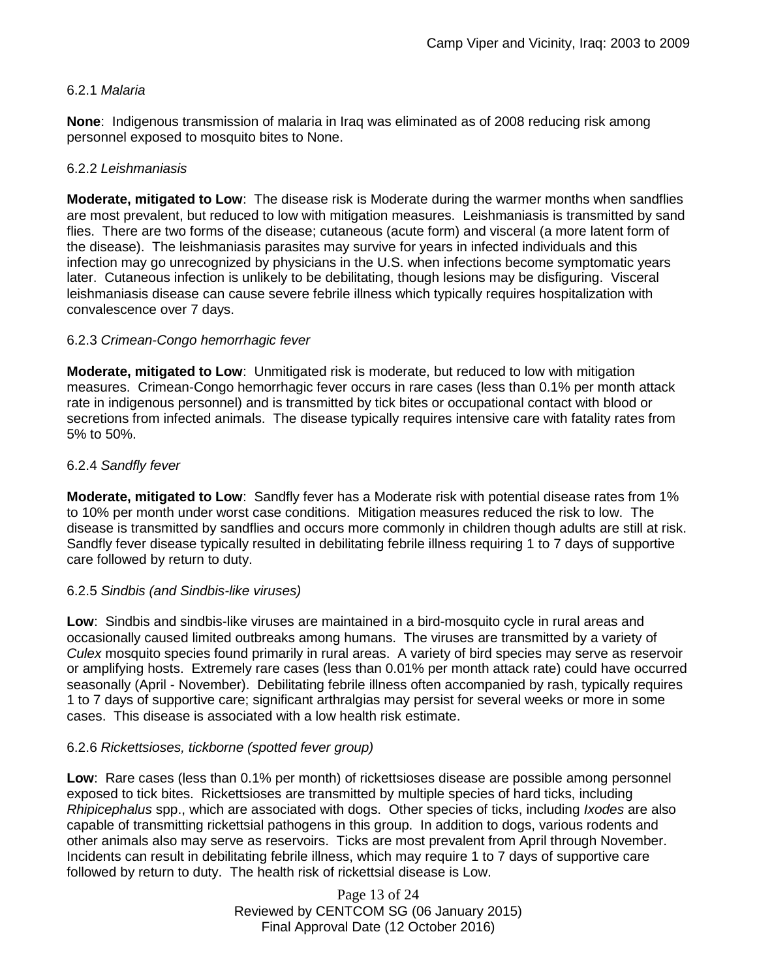## 6.2.1 *Malaria*

**None**: Indigenous transmission of malaria in Iraq was eliminated as of 2008 reducing risk among personnel exposed to mosquito bites to None.

#### 6.2.2 *Leishmaniasis*

**Moderate, mitigated to Low**: The disease risk is Moderate during the warmer months when sandflies are most prevalent, but reduced to low with mitigation measures. Leishmaniasis is transmitted by sand flies. There are two forms of the disease; cutaneous (acute form) and visceral (a more latent form of the disease). The leishmaniasis parasites may survive for years in infected individuals and this infection may go unrecognized by physicians in the U.S. when infections become symptomatic years later. Cutaneous infection is unlikely to be debilitating, though lesions may be disfiguring. Visceral leishmaniasis disease can cause severe febrile illness which typically requires hospitalization with convalescence over 7 days.

## 6.2.3 *Crimean-Congo hemorrhagic fever*

**Moderate, mitigated to Low**: Unmitigated risk is moderate, but reduced to low with mitigation measures. Crimean-Congo hemorrhagic fever occurs in rare cases (less than 0.1% per month attack rate in indigenous personnel) and is transmitted by tick bites or occupational contact with blood or secretions from infected animals. The disease typically requires intensive care with fatality rates from 5% to 50%.

### 6.2.4 *Sandfly fever*

**Moderate, mitigated to Low**: Sandfly fever has a Moderate risk with potential disease rates from 1% to 10% per month under worst case conditions. Mitigation measures reduced the risk to low. The disease is transmitted by sandflies and occurs more commonly in children though adults are still at risk. Sandfly fever disease typically resulted in debilitating febrile illness requiring 1 to 7 days of supportive care followed by return to duty.

#### 6.2.5 *Sindbis (and Sindbis-like viruses)*

**Low**: Sindbis and sindbis-like viruses are maintained in a bird-mosquito cycle in rural areas and occasionally caused limited outbreaks among humans. The viruses are transmitted by a variety of *Culex* mosquito species found primarily in rural areas. A variety of bird species may serve as reservoir or amplifying hosts. Extremely rare cases (less than 0.01% per month attack rate) could have occurred seasonally (April - November). Debilitating febrile illness often accompanied by rash, typically requires 1 to 7 days of supportive care; significant arthralgias may persist for several weeks or more in some cases. This disease is associated with a low health risk estimate.

## 6.2.6 *Rickettsioses, tickborne (spotted fever group)*

**Low**: Rare cases (less than 0.1% per month) of rickettsioses disease are possible among personnel exposed to tick bites. Rickettsioses are transmitted by multiple species of hard ticks, including *Rhipicephalus* spp., which are associated with dogs. Other species of ticks, including *Ixodes* are also capable of transmitting rickettsial pathogens in this group. In addition to dogs, various rodents and other animals also may serve as reservoirs. Ticks are most prevalent from April through November. Incidents can result in debilitating febrile illness, which may require 1 to 7 days of supportive care followed by return to duty. The health risk of rickettsial disease is Low.

> Page 13 of 24 Reviewed by CENTCOM SG (06 January 2015) Final Approval Date (12 October 2016)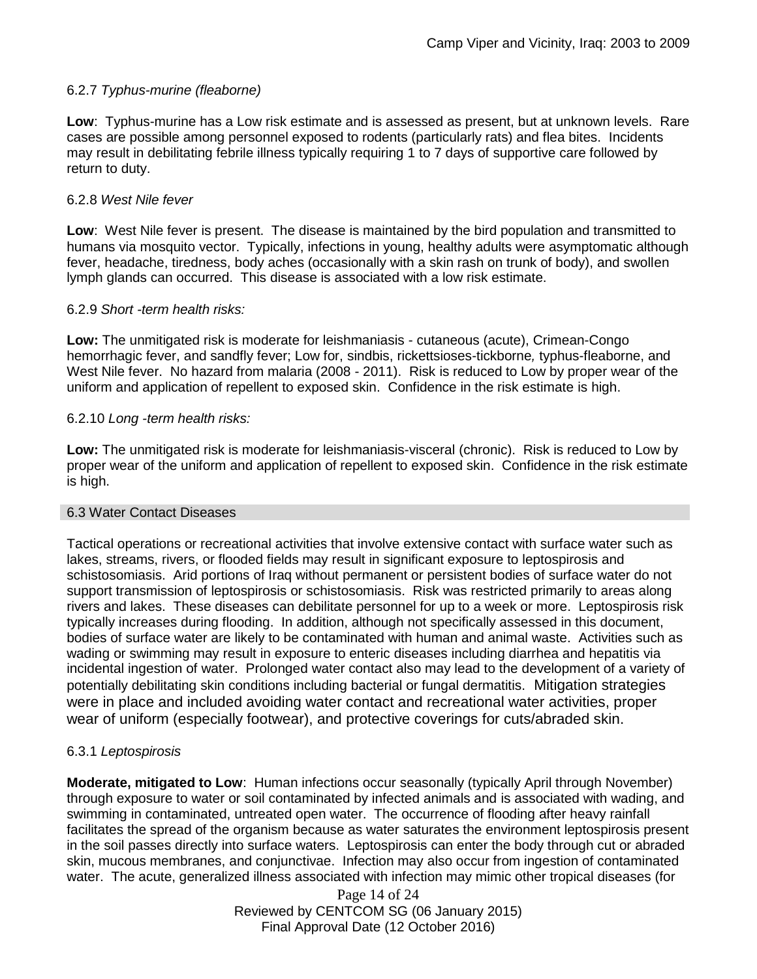## 6.2.7 *Typhus-murine (fleaborne)*

**Low**: Typhus-murine has a Low risk estimate and is assessed as present, but at unknown levels. Rare cases are possible among personnel exposed to rodents (particularly rats) and flea bites. Incidents may result in debilitating febrile illness typically requiring 1 to 7 days of supportive care followed by return to duty.

#### 6.2.8 *West Nile fever*

**Low**: West Nile fever is present. The disease is maintained by the bird population and transmitted to humans via mosquito vector. Typically, infections in young, healthy adults were asymptomatic although fever, headache, tiredness, body aches (occasionally with a skin rash on trunk of body), and swollen lymph glands can occurred. This disease is associated with a low risk estimate.

### 6.2.9 *Short -term health risks:*

**Low:** The unmitigated risk is moderate for leishmaniasis - cutaneous (acute), Crimean-Congo hemorrhagic fever, and sandfly fever; Low for, sindbis, rickettsioses-tickborne*,* typhus-fleaborne, and West Nile fever. No hazard from malaria (2008 - 2011). Risk is reduced to Low by proper wear of the uniform and application of repellent to exposed skin. Confidence in the risk estimate is high.

### 6.2.10 *Long -term health risks:*

**Low:** The unmitigated risk is moderate for leishmaniasis-visceral (chronic). Risk is reduced to Low by proper wear of the uniform and application of repellent to exposed skin. Confidence in the risk estimate is high.

#### 6.3 Water Contact Diseases

Tactical operations or recreational activities that involve extensive contact with surface water such as lakes, streams, rivers, or flooded fields may result in significant exposure to leptospirosis and schistosomiasis. Arid portions of Iraq without permanent or persistent bodies of surface water do not support transmission of leptospirosis or schistosomiasis. Risk was restricted primarily to areas along rivers and lakes. These diseases can debilitate personnel for up to a week or more. Leptospirosis risk typically increases during flooding. In addition, although not specifically assessed in this document, bodies of surface water are likely to be contaminated with human and animal waste. Activities such as wading or swimming may result in exposure to enteric diseases including diarrhea and hepatitis via incidental ingestion of water. Prolonged water contact also may lead to the development of a variety of potentially debilitating skin conditions including bacterial or fungal dermatitis. Mitigation strategies were in place and included avoiding water contact and recreational water activities, proper wear of uniform (especially footwear), and protective coverings for cuts/abraded skin.

## 6.3.1 *Leptospirosis*

**Moderate, mitigated to Low**: Human infections occur seasonally (typically April through November) through exposure to water or soil contaminated by infected animals and is associated with wading, and swimming in contaminated, untreated open water. The occurrence of flooding after heavy rainfall facilitates the spread of the organism because as water saturates the environment leptospirosis present in the soil passes directly into surface waters. Leptospirosis can enter the body through cut or abraded skin, mucous membranes, and conjunctivae. Infection may also occur from ingestion of contaminated water. The acute, generalized illness associated with infection may mimic other tropical diseases (for

> Page 14 of 24 Reviewed by CENTCOM SG (06 January 2015) Final Approval Date (12 October 2016)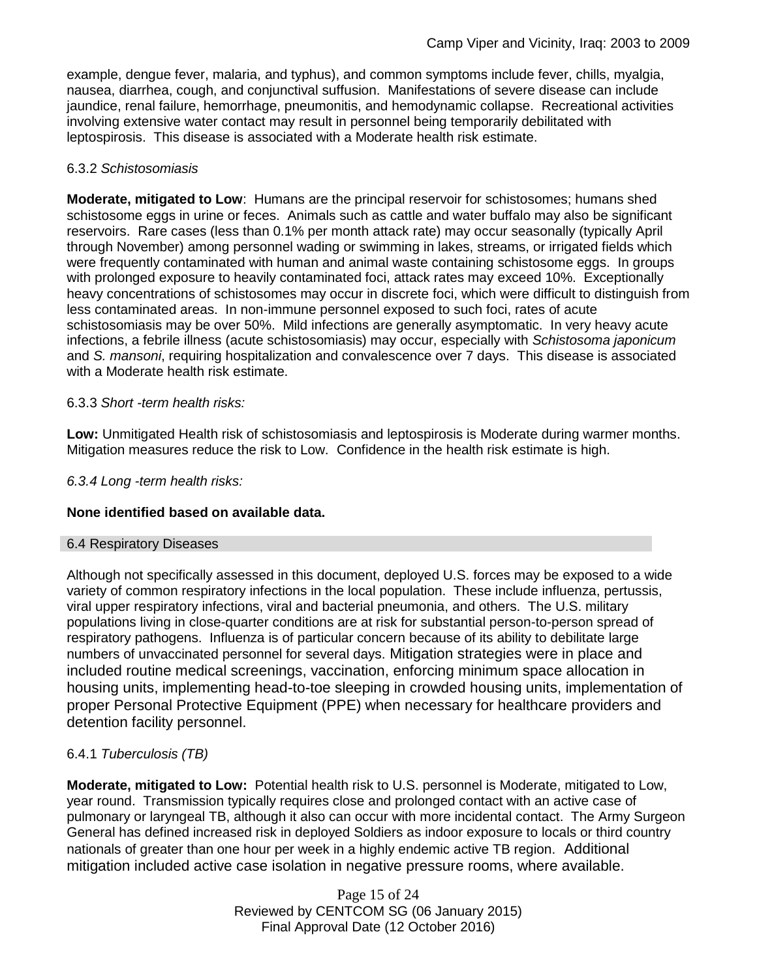example, dengue fever, malaria, and typhus), and common symptoms include fever, chills, myalgia, nausea, diarrhea, cough, and conjunctival suffusion. Manifestations of severe disease can include jaundice, renal failure, hemorrhage, pneumonitis, and hemodynamic collapse. Recreational activities involving extensive water contact may result in personnel being temporarily debilitated with leptospirosis. This disease is associated with a Moderate health risk estimate.

## 6.3.2 *Schistosomiasis*

**Moderate, mitigated to Low**: Humans are the principal reservoir for schistosomes; humans shed schistosome eggs in urine or feces. Animals such as cattle and water buffalo may also be significant reservoirs. Rare cases (less than 0.1% per month attack rate) may occur seasonally (typically April through November) among personnel wading or swimming in lakes, streams, or irrigated fields which were frequently contaminated with human and animal waste containing schistosome eggs. In groups with prolonged exposure to heavily contaminated foci, attack rates may exceed 10%. Exceptionally heavy concentrations of schistosomes may occur in discrete foci, which were difficult to distinguish from less contaminated areas. In non-immune personnel exposed to such foci, rates of acute schistosomiasis may be over 50%. Mild infections are generally asymptomatic. In very heavy acute infections, a febrile illness (acute schistosomiasis) may occur, especially with *Schistosoma japonicum*  and *S. mansoni*, requiring hospitalization and convalescence over 7 days. This disease is associated with a Moderate health risk estimate.

## 6.3.3 *Short -term health risks:*

**Low:** Unmitigated Health risk of schistosomiasis and leptospirosis is Moderate during warmer months. Mitigation measures reduce the risk to Low. Confidence in the health risk estimate is high.

### *6.3.4 Long -term health risks:*

## **None identified based on available data.**

## 6.4 Respiratory Diseases

Although not specifically assessed in this document, deployed U.S. forces may be exposed to a wide variety of common respiratory infections in the local population. These include influenza, pertussis, viral upper respiratory infections, viral and bacterial pneumonia, and others. The U.S. military populations living in close-quarter conditions are at risk for substantial person-to-person spread of respiratory pathogens. Influenza is of particular concern because of its ability to debilitate large numbers of unvaccinated personnel for several days. Mitigation strategies were in place and included routine medical screenings, vaccination, enforcing minimum space allocation in housing units, implementing head-to-toe sleeping in crowded housing units, implementation of proper Personal Protective Equipment (PPE) when necessary for healthcare providers and detention facility personnel.

## 6.4.1 *Tuberculosis (TB)*

**Moderate, mitigated to Low:** Potential health risk to U.S. personnel is Moderate, mitigated to Low, year round. Transmission typically requires close and prolonged contact with an active case of pulmonary or laryngeal TB, although it also can occur with more incidental contact. The Army Surgeon General has defined increased risk in deployed Soldiers as indoor exposure to locals or third country nationals of greater than one hour per week in a highly endemic active TB region. Additional mitigation included active case isolation in negative pressure rooms, where available.

> Page 15 of 24 Reviewed by CENTCOM SG (06 January 2015) Final Approval Date (12 October 2016)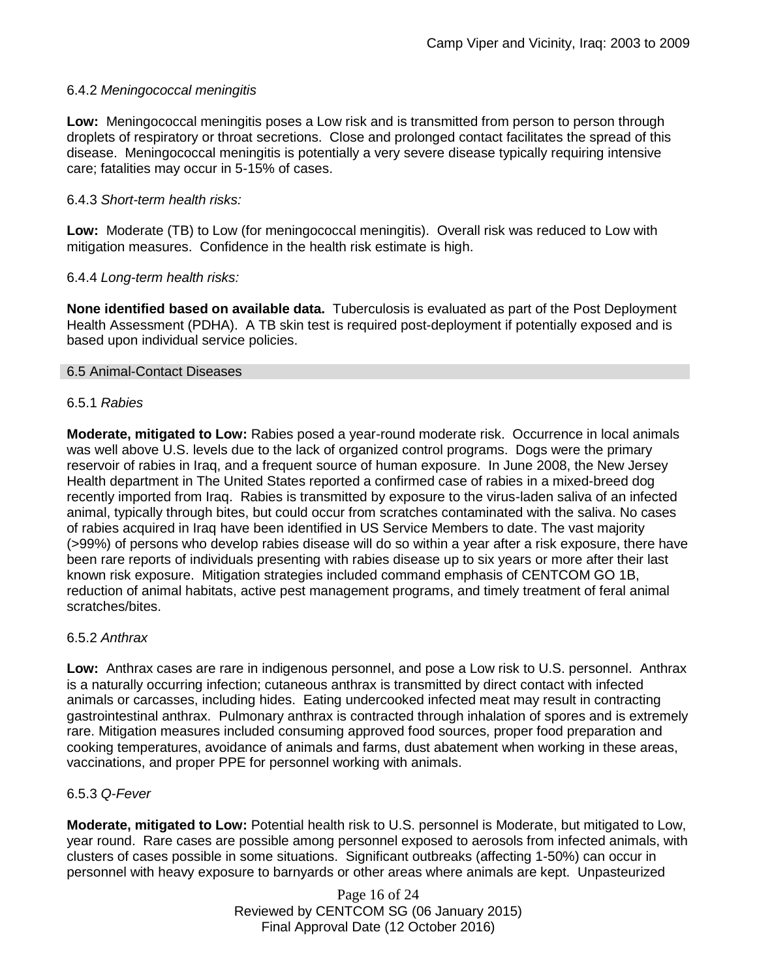## 6.4.2 *Meningococcal meningitis*

**Low:** Meningococcal meningitis poses a Low risk and is transmitted from person to person through droplets of respiratory or throat secretions. Close and prolonged contact facilitates the spread of this disease. Meningococcal meningitis is potentially a very severe disease typically requiring intensive care; fatalities may occur in 5-15% of cases.

### 6.4.3 *Short-term health risks:*

**Low:** Moderate (TB) to Low (for meningococcal meningitis). Overall risk was reduced to Low with mitigation measures. Confidence in the health risk estimate is high.

### 6.4.4 *Long-term health risks:*

**None identified based on available data.** Tuberculosis is evaluated as part of the Post Deployment Health Assessment (PDHA). A TB skin test is required post-deployment if potentially exposed and is based upon individual service policies.

#### 6.5 Animal-Contact Diseases

#### 6.5.1 *Rabies*

**Moderate, mitigated to Low:** Rabies posed a year-round moderate risk. Occurrence in local animals was well above U.S. levels due to the lack of organized control programs. Dogs were the primary reservoir of rabies in Iraq, and a frequent source of human exposure. In June 2008, the New Jersey Health department in The United States reported a confirmed case of rabies in a mixed-breed dog recently imported from Iraq. Rabies is transmitted by exposure to the virus-laden saliva of an infected animal, typically through bites, but could occur from scratches contaminated with the saliva. No cases of rabies acquired in Iraq have been identified in US Service Members to date. The vast majority (>99%) of persons who develop rabies disease will do so within a year after a risk exposure, there have been rare reports of individuals presenting with rabies disease up to six years or more after their last known risk exposure. Mitigation strategies included command emphasis of CENTCOM GO 1B, reduction of animal habitats, active pest management programs, and timely treatment of feral animal scratches/bites.

#### 6.5.2 *Anthrax*

**Low:** Anthrax cases are rare in indigenous personnel, and pose a Low risk to U.S. personnel. Anthrax is a naturally occurring infection; cutaneous anthrax is transmitted by direct contact with infected animals or carcasses, including hides. Eating undercooked infected meat may result in contracting gastrointestinal anthrax. Pulmonary anthrax is contracted through inhalation of spores and is extremely rare. Mitigation measures included consuming approved food sources, proper food preparation and cooking temperatures, avoidance of animals and farms, dust abatement when working in these areas, vaccinations, and proper PPE for personnel working with animals.

#### 6.5.3 *Q-Fever*

**Moderate, mitigated to Low:** Potential health risk to U.S. personnel is Moderate, but mitigated to Low, year round. Rare cases are possible among personnel exposed to aerosols from infected animals, with clusters of cases possible in some situations. Significant outbreaks (affecting 1-50%) can occur in personnel with heavy exposure to barnyards or other areas where animals are kept. Unpasteurized

> Page 16 of 24 Reviewed by CENTCOM SG (06 January 2015) Final Approval Date (12 October 2016)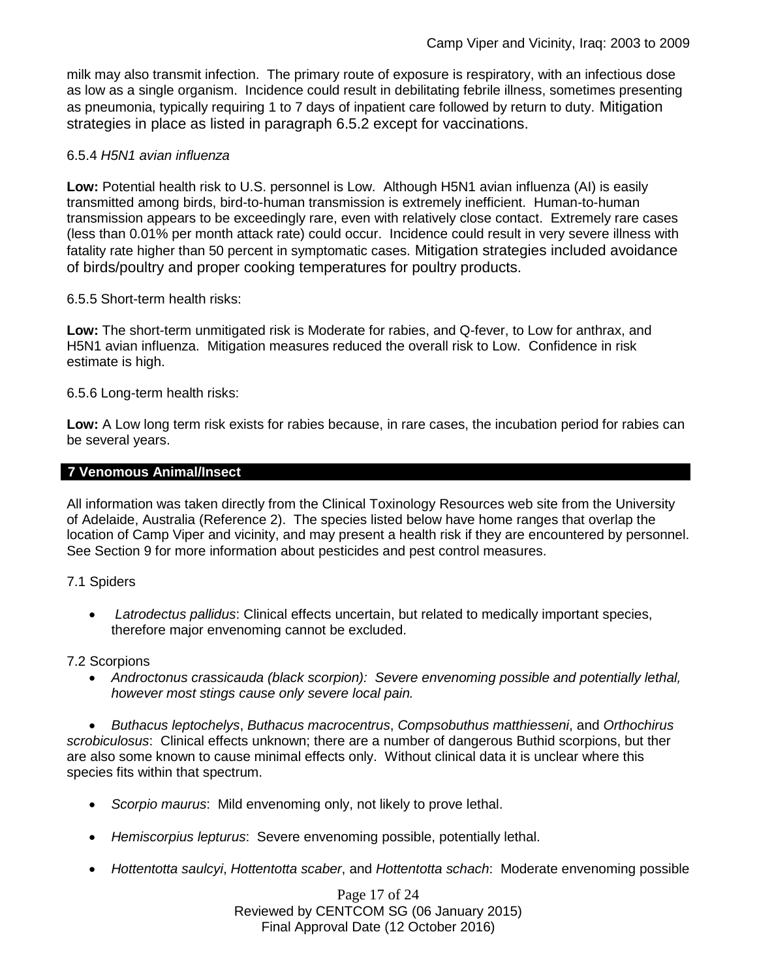milk may also transmit infection. The primary route of exposure is respiratory, with an infectious dose as low as a single organism. Incidence could result in debilitating febrile illness, sometimes presenting as pneumonia, typically requiring 1 to 7 days of inpatient care followed by return to duty. Mitigation strategies in place as listed in paragraph 6.5.2 except for vaccinations.

## 6.5.4 *H5N1 avian influenza*

**Low:** Potential health risk to U.S. personnel is Low. Although H5N1 avian influenza (AI) is easily transmitted among birds, bird-to-human transmission is extremely inefficient. Human-to-human transmission appears to be exceedingly rare, even with relatively close contact. Extremely rare cases (less than 0.01% per month attack rate) could occur. Incidence could result in very severe illness with fatality rate higher than 50 percent in symptomatic cases. Mitigation strategies included avoidance of birds/poultry and proper cooking temperatures for poultry products.

## 6.5.5 Short-term health risks:

**Low:** The short-term unmitigated risk is Moderate for rabies, and Q-fever, to Low for anthrax, and H5N1 avian influenza. Mitigation measures reduced the overall risk to Low.Confidence in risk estimate is high.

### 6.5.6 Long-term health risks:

**Low:** A Low long term risk exists for rabies because, in rare cases, the incubation period for rabies can be several years.

## **7 Venomous Animal/Insect**

All information was taken directly from the Clinical Toxinology Resources web site from the University of Adelaide, Australia (Reference 2). The species listed below have home ranges that overlap the location of Camp Viper and vicinity, and may present a health risk if they are encountered by personnel. See Section 9 for more information about pesticides and pest control measures.

#### 7.1 Spiders

 *Latrodectus pallidus*: Clinical effects uncertain, but related to medically important species, therefore major envenoming cannot be excluded.

#### 7.2 Scorpions

 *Androctonus crassicauda (black scorpion): Severe envenoming possible and potentially lethal, however most stings cause only severe local pain.* 

 *Buthacus leptochelys*, *Buthacus macrocentrus*, *Compsobuthus matthiesseni*, and *Orthochirus scrobiculosus*: Clinical effects unknown; there are a number of dangerous Buthid scorpions, but ther are also some known to cause minimal effects only. Without clinical data it is unclear where this species fits within that spectrum.

- *Scorpio maurus*: Mild envenoming only, not likely to prove lethal.
- *Hemiscorpius lepturus*: Severe envenoming possible, potentially lethal.
- *Hottentotta saulcyi*, *Hottentotta scaber*, and *Hottentotta schach*: Moderate envenoming possible

Page 17 of 24 Reviewed by CENTCOM SG (06 January 2015) Final Approval Date (12 October 2016)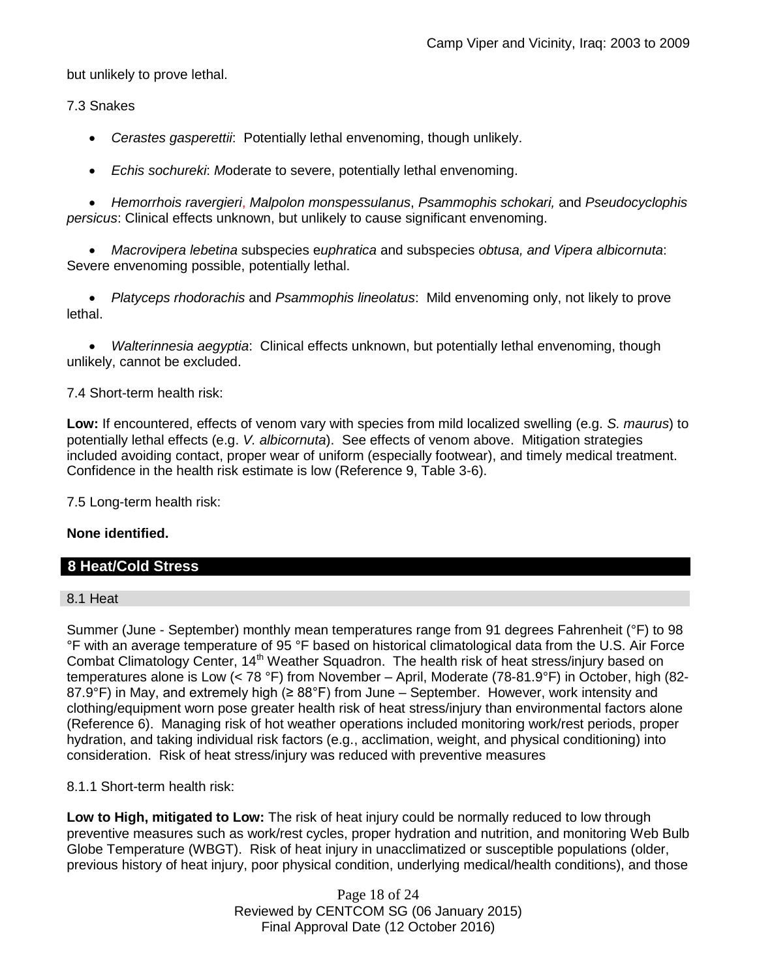but unlikely to prove lethal.

7.3 Snakes

*Cerastes gasperettii*: Potentially lethal envenoming, though unlikely.

*Echis sochureki*: *M*oderate to severe, potentially lethal envenoming.

 *Hemorrhois ravergieri*, *Malpolon monspessulanus*, *Psammophis schokari,* and *Pseudocyclophis persicus*: Clinical effects unknown, but unlikely to cause significant envenoming.

 *Macrovipera lebetina* subspecies e*uphratica* and subspecies *obtusa, and Vipera albicornuta*: Severe envenoming possible, potentially lethal.

 *Platyceps rhodorachis* and *Psammophis lineolatus*: Mild envenoming only, not likely to prove lethal.

 *Walterinnesia aegyptia*: Clinical effects unknown, but potentially lethal envenoming, though unlikely, cannot be excluded.

7.4 Short-term health risk:

**Low:** If encountered, effects of venom vary with species from mild localized swelling (e.g. *S. maurus*) to potentially lethal effects (e.g. *V. albicornuta*). See effects of venom above. Mitigation strategies included avoiding contact, proper wear of uniform (especially footwear), and timely medical treatment. Confidence in the health risk estimate is low (Reference 9, Table 3-6).

7.5 Long-term health risk:

#### **None identified.**

## **8 Heat/Cold Stress**

#### 8.1 Heat

Summer (June - September) monthly mean temperatures range from 91 degrees Fahrenheit (°F) to 98 °F with an average temperature of 95 °F based on historical climatological data from the U.S. Air Force Combat Climatology Center, 14<sup>th</sup> Weather Squadron. The health risk of heat stress/injury based on temperatures alone is Low (< 78 °F) from November – April, Moderate (78-81.9°F) in October, high (82- 87.9°F) in May, and extremely high (≥ 88°F) from June – September. However, work intensity and clothing/equipment worn pose greater health risk of heat stress/injury than environmental factors alone (Reference 6). Managing risk of hot weather operations included monitoring work/rest periods, proper hydration, and taking individual risk factors (e.g., acclimation, weight, and physical conditioning) into consideration. Risk of heat stress/injury was reduced with preventive measures

#### 8.1.1 Short-term health risk:

**Low to High, mitigated to Low:** The risk of heat injury could be normally reduced to low through preventive measures such as work/rest cycles, proper hydration and nutrition, and monitoring Web Bulb Globe Temperature (WBGT). Risk of heat injury in unacclimatized or susceptible populations (older, previous history of heat injury, poor physical condition, underlying medical/health conditions), and those

> Page 18 of 24 Reviewed by CENTCOM SG (06 January 2015) Final Approval Date (12 October 2016)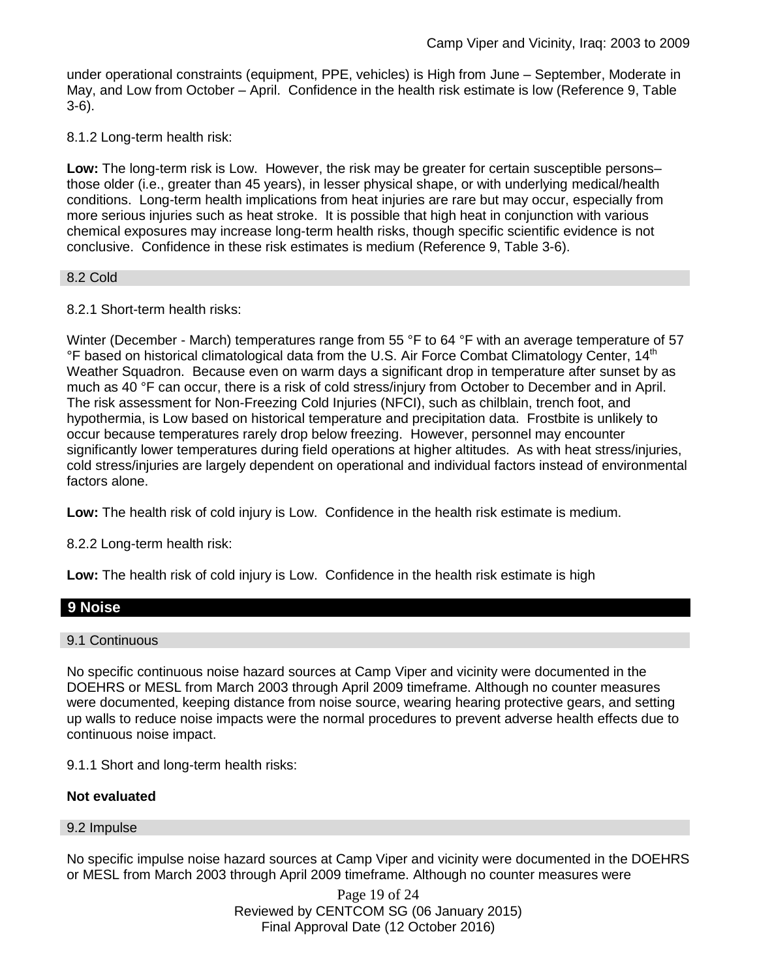under operational constraints (equipment, PPE, vehicles) is High from June – September, Moderate in May, and Low from October – April. Confidence in the health risk estimate is low (Reference 9, Table 3-6).

8.1.2 Long-term health risk:

**Low:** The long-term risk is Low. However, the risk may be greater for certain susceptible persons– those older (i.e., greater than 45 years), in lesser physical shape, or with underlying medical/health conditions. Long-term health implications from heat injuries are rare but may occur, especially from more serious injuries such as heat stroke. It is possible that high heat in conjunction with various chemical exposures may increase long-term health risks, though specific scientific evidence is not conclusive. Confidence in these risk estimates is medium (Reference 9, Table 3-6).

### 8.2 Cold

### 8.2.1 Short-term health risks:

Winter (December - March) temperatures range from 55 °F to 64 °F with an average temperature of 57  $\degree$ F based on historical climatological data from the U.S. Air Force Combat Climatology Center, 14<sup>th</sup> Weather Squadron. Because even on warm days a significant drop in temperature after sunset by as much as 40 °F can occur, there is a risk of cold stress/injury from October to December and in April. The risk assessment for Non-Freezing Cold Injuries (NFCI), such as chilblain, trench foot, and hypothermia, is Low based on historical temperature and precipitation data. Frostbite is unlikely to occur because temperatures rarely drop below freezing. However, personnel may encounter significantly lower temperatures during field operations at higher altitudes. As with heat stress/injuries, cold stress/injuries are largely dependent on operational and individual factors instead of environmental factors alone.

**Low:** The health risk of cold injury is Low. Confidence in the health risk estimate is medium.

8.2.2 Long-term health risk:

**Low:** The health risk of cold injury is Low. Confidence in the health risk estimate is high

## **9 Noise**

9.1 Continuous

No specific continuous noise hazard sources at Camp Viper and vicinity were documented in the DOEHRS or MESL from March 2003 through April 2009 timeframe. Although no counter measures were documented, keeping distance from noise source, wearing hearing protective gears, and setting up walls to reduce noise impacts were the normal procedures to prevent adverse health effects due to continuous noise impact.

9.1.1 Short and long-term health risks:

#### **Not evaluated**

#### 9.2 Impulse

No specific impulse noise hazard sources at Camp Viper and vicinity were documented in the DOEHRS or MESL from March 2003 through April 2009 timeframe. Although no counter measures were

> Page 19 of 24 Reviewed by CENTCOM SG (06 January 2015) Final Approval Date (12 October 2016)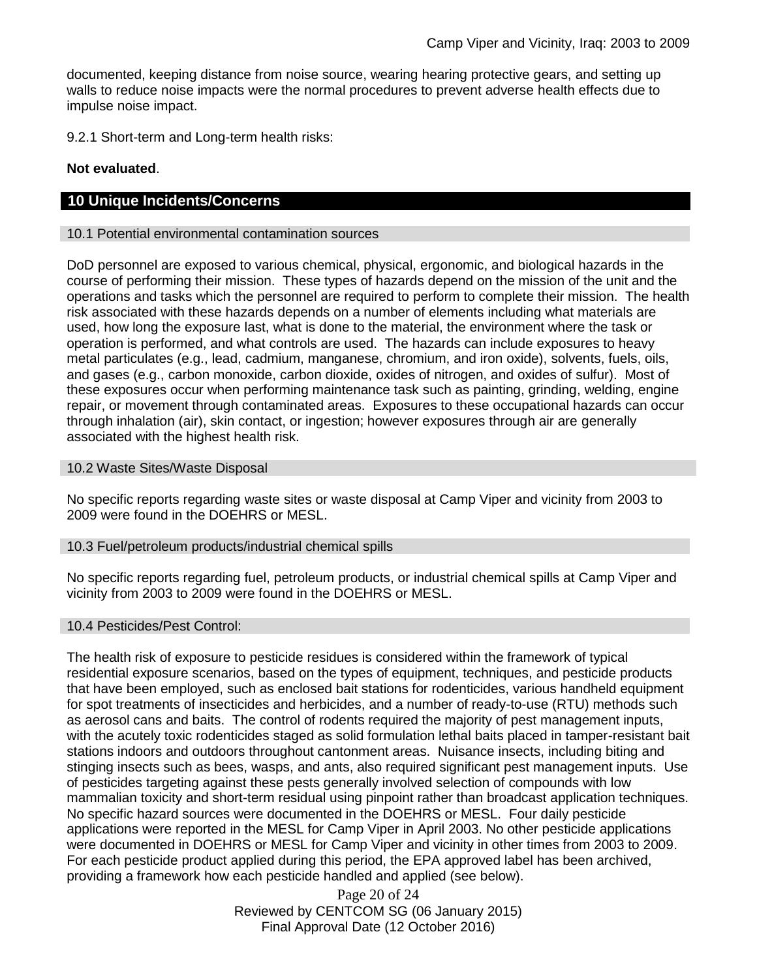documented, keeping distance from noise source, wearing hearing protective gears, and setting up walls to reduce noise impacts were the normal procedures to prevent adverse health effects due to impulse noise impact.

9.2.1 Short-term and Long-term health risks:

### **Not evaluated**.

### **10 Unique Incidents/Concerns**

#### 10.1 Potential environmental contamination sources

DoD personnel are exposed to various chemical, physical, ergonomic, and biological hazards in the course of performing their mission. These types of hazards depend on the mission of the unit and the operations and tasks which the personnel are required to perform to complete their mission. The health risk associated with these hazards depends on a number of elements including what materials are used, how long the exposure last, what is done to the material, the environment where the task or operation is performed, and what controls are used. The hazards can include exposures to heavy metal particulates (e.g., lead, cadmium, manganese, chromium, and iron oxide), solvents, fuels, oils, and gases (e.g., carbon monoxide, carbon dioxide, oxides of nitrogen, and oxides of sulfur). Most of these exposures occur when performing maintenance task such as painting, grinding, welding, engine repair, or movement through contaminated areas. Exposures to these occupational hazards can occur through inhalation (air), skin contact, or ingestion; however exposures through air are generally associated with the highest health risk.

#### 10.2 Waste Sites/Waste Disposal

No specific reports regarding waste sites or waste disposal at Camp Viper and vicinity from 2003 to 2009 were found in the DOEHRS or MESL.

#### 10.3 Fuel/petroleum products/industrial chemical spills

No specific reports regarding fuel, petroleum products, or industrial chemical spills at Camp Viper and vicinity from 2003 to 2009 were found in the DOEHRS or MESL.

#### 10.4 Pesticides/Pest Control:

The health risk of exposure to pesticide residues is considered within the framework of typical residential exposure scenarios, based on the types of equipment, techniques, and pesticide products that have been employed, such as enclosed bait stations for rodenticides, various handheld equipment for spot treatments of insecticides and herbicides, and a number of ready-to-use (RTU) methods such as aerosol cans and baits. The control of rodents required the majority of pest management inputs, with the acutely toxic rodenticides staged as solid formulation lethal baits placed in tamper-resistant bait stations indoors and outdoors throughout cantonment areas. Nuisance insects, including biting and stinging insects such as bees, wasps, and ants, also required significant pest management inputs. Use of pesticides targeting against these pests generally involved selection of compounds with low mammalian toxicity and short-term residual using pinpoint rather than broadcast application techniques. No specific hazard sources were documented in the DOEHRS or MESL. Four daily pesticide applications were reported in the MESL for Camp Viper in April 2003. No other pesticide applications were documented in DOEHRS or MESL for Camp Viper and vicinity in other times from 2003 to 2009. For each pesticide product applied during this period, the EPA approved label has been archived, providing a framework how each pesticide handled and applied (see below).

> Page 20 of 24 Reviewed by CENTCOM SG (06 January 2015) Final Approval Date (12 October 2016)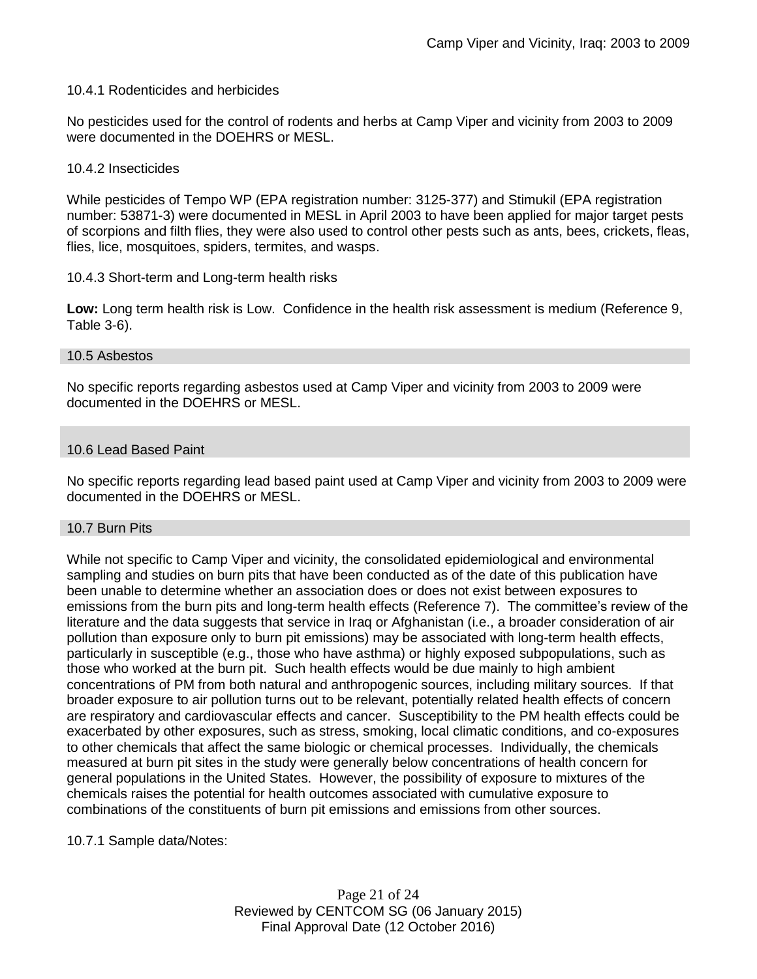#### 10.4.1 Rodenticides and herbicides

No pesticides used for the control of rodents and herbs at Camp Viper and vicinity from 2003 to 2009 were documented in the DOEHRS or MESL.

#### 10.4.2 Insecticides

While pesticides of Tempo WP (EPA registration number: 3125-377) and Stimukil (EPA registration number: 53871-3) were documented in MESL in April 2003 to have been applied for major target pests of scorpions and filth flies, they were also used to control other pests such as ants, bees, crickets, fleas, flies, lice, mosquitoes, spiders, termites, and wasps.

#### 10.4.3 Short-term and Long-term health risks

**Low:** Long term health risk is Low. Confidence in the health risk assessment is medium (Reference 9, Table 3-6).

#### 10.5 Asbestos

No specific reports regarding asbestos used at Camp Viper and vicinity from 2003 to 2009 were documented in the DOEHRS or MESL.

#### 10.6 Lead Based Paint

No specific reports regarding lead based paint used at Camp Viper and vicinity from 2003 to 2009 were documented in the DOEHRS or MESL.

#### 10.7 Burn Pits

While not specific to Camp Viper and vicinity, the consolidated epidemiological and environmental sampling and studies on burn pits that have been conducted as of the date of this publication have been unable to determine whether an association does or does not exist between exposures to emissions from the burn pits and long-term health effects (Reference 7). The committee's review of the literature and the data suggests that service in Iraq or Afghanistan (i.e., a broader consideration of air pollution than exposure only to burn pit emissions) may be associated with long-term health effects, particularly in susceptible (e.g., those who have asthma) or highly exposed subpopulations, such as those who worked at the burn pit. Such health effects would be due mainly to high ambient concentrations of PM from both natural and anthropogenic sources, including military sources. If that broader exposure to air pollution turns out to be relevant, potentially related health effects of concern are respiratory and cardiovascular effects and cancer. Susceptibility to the PM health effects could be exacerbated by other exposures, such as stress, smoking, local climatic conditions, and co-exposures to other chemicals that affect the same biologic or chemical processes. Individually, the chemicals measured at burn pit sites in the study were generally below concentrations of health concern for general populations in the United States. However, the possibility of exposure to mixtures of the chemicals raises the potential for health outcomes associated with cumulative exposure to combinations of the constituents of burn pit emissions and emissions from other sources.

10.7.1 Sample data/Notes:

Page 21 of 24 Reviewed by CENTCOM SG (06 January 2015) Final Approval Date (12 October 2016)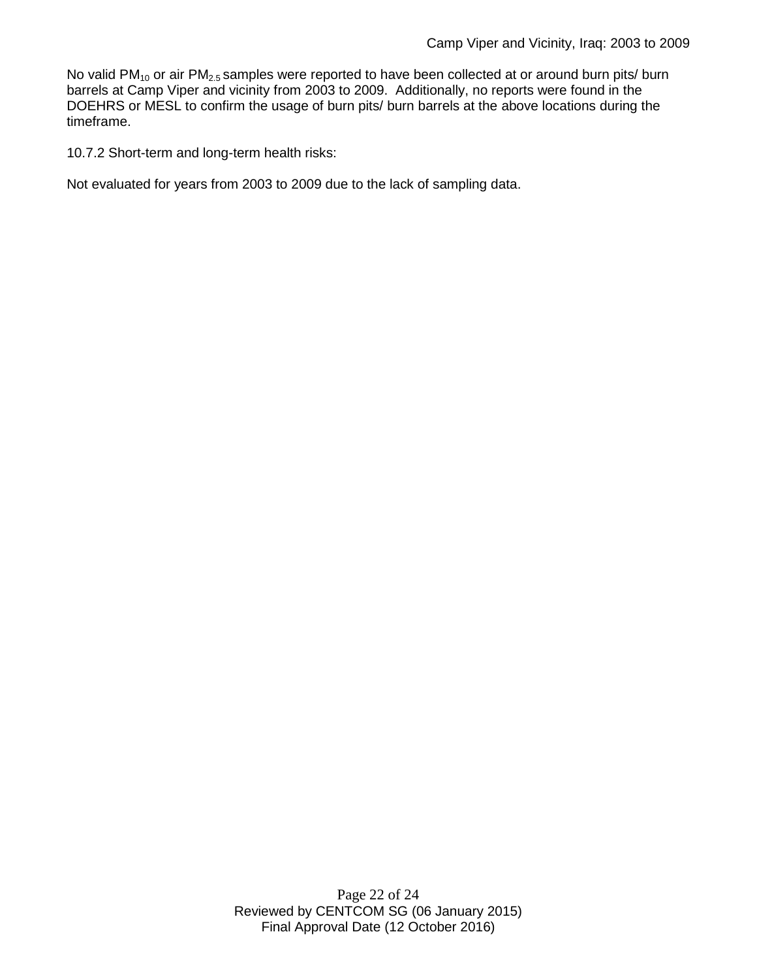No valid PM<sub>10</sub> or air PM<sub>2.5</sub> samples were reported to have been collected at or around burn pits/ burn barrels at Camp Viper and vicinity from 2003 to 2009. Additionally, no reports were found in the DOEHRS or MESL to confirm the usage of burn pits/ burn barrels at the above locations during the timeframe.

10.7.2 Short-term and long-term health risks:

Not evaluated for years from 2003 to 2009 due to the lack of sampling data.

Page 22 of 24 Reviewed by CENTCOM SG (06 January 2015) Final Approval Date (12 October 2016)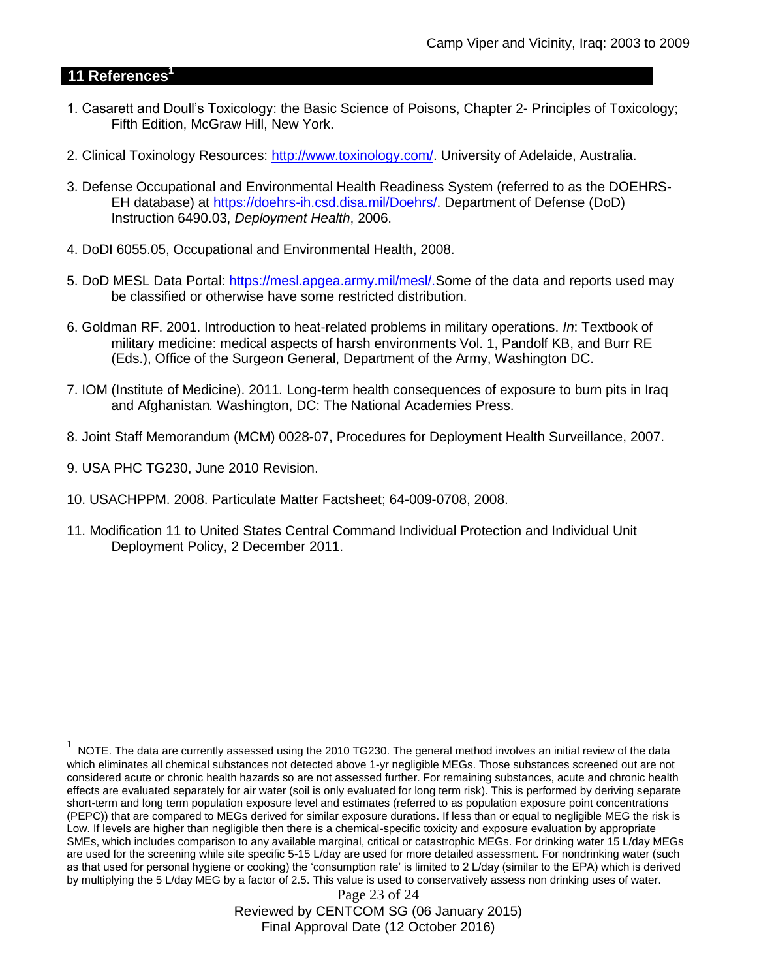## **11 References<sup>1</sup>**

- 1. Casarett and Doull's Toxicology: the Basic Science of Poisons, Chapter 2- Principles of Toxicology; Fifth Edition, McGraw Hill, New York.
- 2. Clinical Toxinology Resources: [http://www.toxinology.com/.](http://www.toxinology.com/) University of Adelaide, Australia.
- 3. Defense Occupational and Environmental Health Readiness System (referred to as the DOEHRS-EH database) at https://doehrs-ih.csd.disa.mil/Doehrs/. Department of Defense (DoD) Instruction 6490.03, *Deployment Health*, 2006.
- 4. DoDI 6055.05, Occupational and Environmental Health, 2008.
- 5. DoD MESL Data Portal: https://mesl.apgea.army.mil/mesl/.Some of the data and reports used may be classified or otherwise have some restricted distribution.
- 6. Goldman RF. 2001. Introduction to heat-related problems in military operations. *In*: Textbook of military medicine: medical aspects of harsh environments Vol. 1, Pandolf KB, and Burr RE (Eds.), Office of the Surgeon General, Department of the Army, Washington DC.
- 7. IOM (Institute of Medicine). 2011*.* Long-term health consequences of exposure to burn pits in Iraq and Afghanistan*.* Washington, DC: The National Academies Press.
- 8. Joint Staff Memorandum (MCM) 0028-07, Procedures for Deployment Health Surveillance, 2007.
- 9. USA PHC TG230, June 2010 Revision.

 $\overline{a}$ 

- 10. USACHPPM. 2008. Particulate Matter Factsheet; 64-009-0708, 2008.
- 11. Modification 11 to United States Central Command Individual Protection and Individual Unit Deployment Policy, 2 December 2011.

Page 23 of 24 Reviewed by CENTCOM SG (06 January 2015) Final Approval Date (12 October 2016)

 $1$  NOTE. The data are currently assessed using the 2010 TG230. The general method involves an initial review of the data which eliminates all chemical substances not detected above 1-yr negligible MEGs. Those substances screened out are not considered acute or chronic health hazards so are not assessed further. For remaining substances, acute and chronic health effects are evaluated separately for air water (soil is only evaluated for long term risk). This is performed by deriving separate short-term and long term population exposure level and estimates (referred to as population exposure point concentrations (PEPC)) that are compared to MEGs derived for similar exposure durations. If less than or equal to negligible MEG the risk is Low. If levels are higher than negligible then there is a chemical-specific toxicity and exposure evaluation by appropriate SMEs, which includes comparison to any available marginal, critical or catastrophic MEGs. For drinking water 15 L/day MEGs are used for the screening while site specific 5-15 L/day are used for more detailed assessment. For nondrinking water (such as that used for personal hygiene or cooking) the 'consumption rate' is limited to 2 L/day (similar to the EPA) which is derived by multiplying the 5 L/day MEG by a factor of 2.5. This value is used to conservatively assess non drinking uses of water.